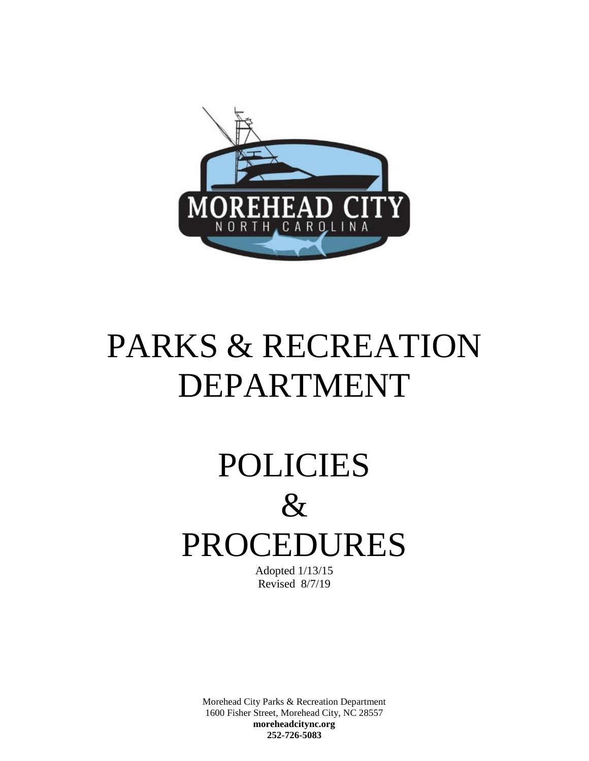

# PARKS & RECREATION DEPARTMENT

# POLICIES  $\&$ PROCEDURES

Adopted 1/13/15 Revised 8/7/19

Morehead City Parks & Recreation Department 1600 Fisher Street, Morehead City, NC 28557 **moreheadcitync.org 252-726-5083**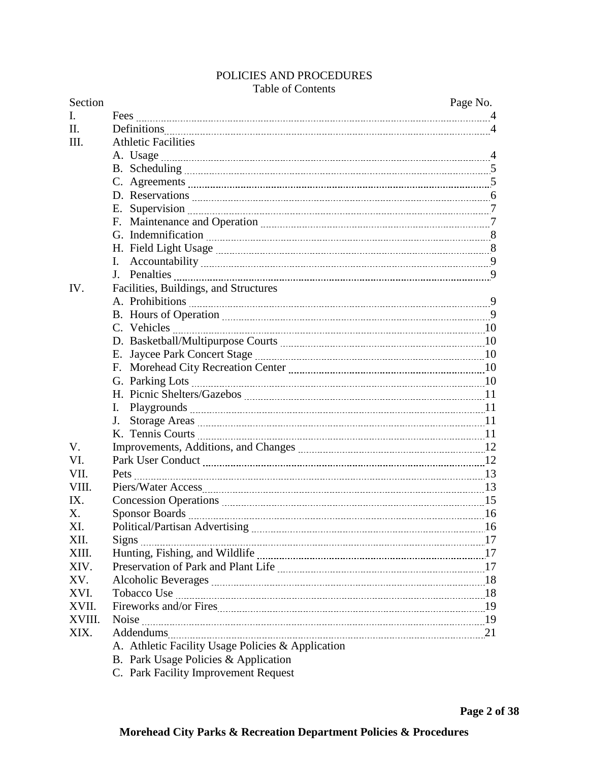# POLICIES AND PROCEDURES

# Table of Contents

| Section |                                                   | Page No. |
|---------|---------------------------------------------------|----------|
| L.      |                                                   |          |
| II.     | Definitions 4                                     |          |
| III.    | <b>Athletic Facilities</b>                        |          |
|         |                                                   |          |
|         |                                                   |          |
|         |                                                   |          |
|         |                                                   |          |
|         |                                                   |          |
|         |                                                   |          |
|         |                                                   |          |
|         |                                                   |          |
|         |                                                   |          |
|         |                                                   |          |
| IV.     | Facilities, Buildings, and Structures             |          |
|         |                                                   |          |
|         |                                                   |          |
|         |                                                   |          |
|         |                                                   |          |
|         |                                                   |          |
|         |                                                   |          |
|         |                                                   |          |
|         |                                                   |          |
|         |                                                   |          |
|         |                                                   |          |
|         |                                                   |          |
| V.      |                                                   |          |
| VI.     |                                                   |          |
| VII.    |                                                   |          |
| VIII.   |                                                   |          |
| IX.     |                                                   |          |
| X.      |                                                   |          |
| XI.     |                                                   |          |
| XII.    |                                                   |          |
| XIII.   |                                                   |          |
| XIV.    |                                                   |          |
| XV.     |                                                   |          |
| XVI.    |                                                   |          |
| XVII.   |                                                   |          |
| XVIII.  |                                                   |          |
| XIX.    |                                                   |          |
|         | A. Athletic Facility Usage Policies & Application |          |
|         | B. Park Usage Policies & Application              |          |
|         | C. Park Facility Improvement Request              |          |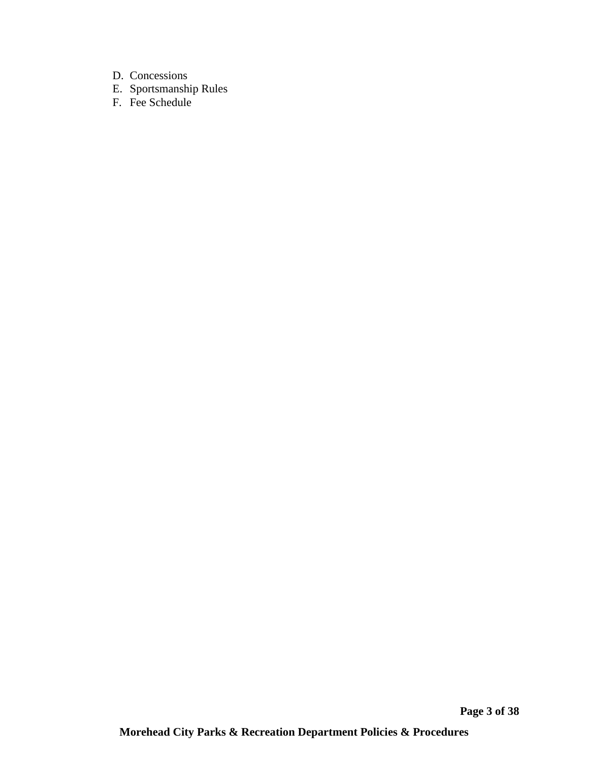- D. Concessions
- E. Sportsmanship Rules
- F. Fee Schedule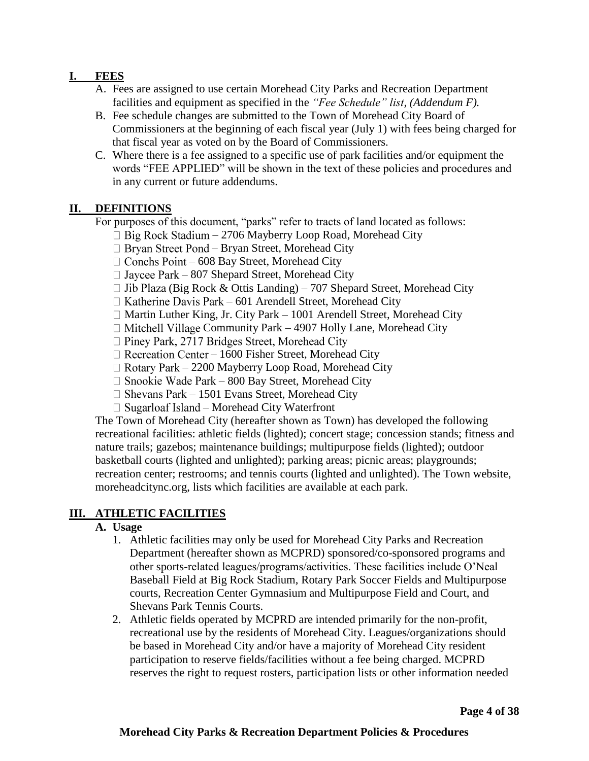# **I. FEES**

- A. Fees are assigned to use certain Morehead City Parks and Recreation Department facilities and equipment as specified in the *"Fee Schedule" list, (Addendum F).*
- B. Fee schedule changes are submitted to the Town of Morehead City Board of Commissioners at the beginning of each fiscal year (July 1) with fees being charged for that fiscal year as voted on by the Board of Commissioners.
- C. Where there is a fee assigned to a specific use of park facilities and/or equipment the words "FEE APPLIED" will be shown in the text of these policies and procedures and in any current or future addendums.

#### **II. DEFINITIONS**

For purposes of this document, "parks" refer to tracts of land located as follows:

- $\Box$  Big Rock Stadium 2706 Mayberry Loop Road, Morehead City
- *–* Bryan Street, Morehead City
- $\Box$  Conchs Point 608 Bay Street, Morehead City
- $\Box$  Jaycee Park 807 Shepard Street, Morehead City
- $\Box$  Jib Plaza (Big Rock & Ottis Landing) 707 Shepard Street, Morehead City
- $\Box$  Katherine Davis Park 601 Arendell Street, Morehead City
- $\Box$  Martin Luther King, Jr. City Park 1001 Arendell Street, Morehead City
- $\Box$  Mitchell Village Community Park 4907 Holly Lane, Morehead City
- $\Box$  Piney Park, 2717 Bridges Street, Morehead City
- $\Box$  Recreation Center 1600 Fisher Street, Morehead City
- $\Box$  Rotary Park 2200 Mayberry Loop Road, Morehead City
- $\Box$  Snookie Wade Park 800 Bay Street, Morehead City
- $\Box$  Shevans Park 1501 Evans Street, Morehead City
- $\Box$  Sugarloaf Island Morehead City Waterfront

The Town of Morehead City (hereafter shown as Town) has developed the following recreational facilities: athletic fields (lighted); concert stage; concession stands; fitness and nature trails; gazebos; maintenance buildings; multipurpose fields (lighted); outdoor basketball courts (lighted and unlighted); parking areas; picnic areas; playgrounds; recreation center; restrooms; and tennis courts (lighted and unlighted). The Town website, moreheadcitync.org, lists which facilities are available at each park.

#### **III. ATHLETIC FACILITIES**

#### **A. Usage**

- 1. Athletic facilities may only be used for Morehead City Parks and Recreation Department (hereafter shown as MCPRD) sponsored/co-sponsored programs and other sports-related leagues/programs/activities. These facilities include O'Neal Baseball Field at Big Rock Stadium, Rotary Park Soccer Fields and Multipurpose courts, Recreation Center Gymnasium and Multipurpose Field and Court, and Shevans Park Tennis Courts.
- 2. Athletic fields operated by MCPRD are intended primarily for the non-profit, recreational use by the residents of Morehead City. Leagues/organizations should be based in Morehead City and/or have a majority of Morehead City resident participation to reserve fields/facilities without a fee being charged. MCPRD reserves the right to request rosters, participation lists or other information needed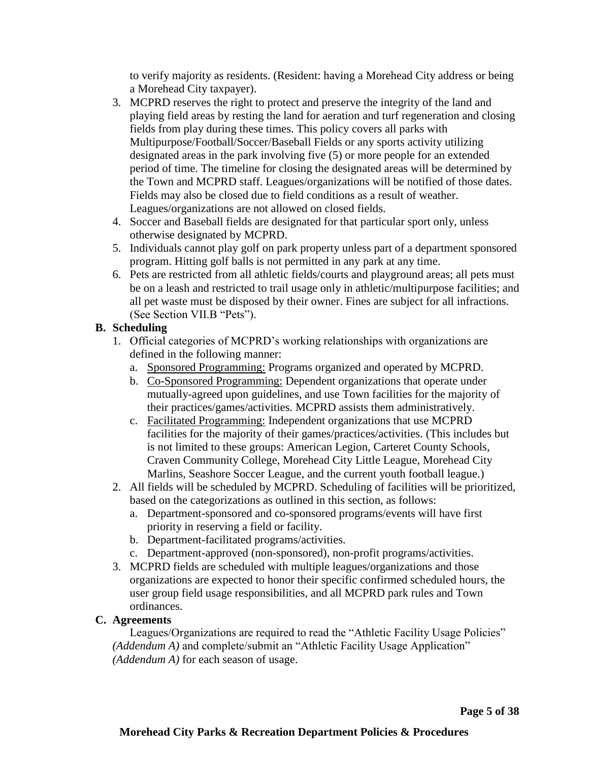to verify majority as residents. (Resident: having a Morehead City address or being a Morehead City taxpayer).

- 3. MCPRD reserves the right to protect and preserve the integrity of the land and playing field areas by resting the land for aeration and turf regeneration and closing fields from play during these times. This policy covers all parks with Multipurpose/Football/Soccer/Baseball Fields or any sports activity utilizing designated areas in the park involving five (5) or more people for an extended period of time. The timeline for closing the designated areas will be determined by the Town and MCPRD staff. Leagues/organizations will be notified of those dates. Fields may also be closed due to field conditions as a result of weather. Leagues/organizations are not allowed on closed fields.
- 4. Soccer and Baseball fields are designated for that particular sport only, unless otherwise designated by MCPRD.
- 5. Individuals cannot play golf on park property unless part of a department sponsored program. Hitting golf balls is not permitted in any park at any time.
- 6. Pets are restricted from all athletic fields/courts and playground areas; all pets must be on a leash and restricted to trail usage only in athletic/multipurpose facilities; and all pet waste must be disposed by their owner. Fines are subject for all infractions. (See Section VII.B "Pets").

# **B. Scheduling**

- 1. Official categories of MCPRD's working relationships with organizations are defined in the following manner:
	- a. Sponsored Programming: Programs organized and operated by MCPRD.
	- b. Co-Sponsored Programming: Dependent organizations that operate under mutually-agreed upon guidelines, and use Town facilities for the majority of their practices/games/activities. MCPRD assists them administratively.
	- c. Facilitated Programming: Independent organizations that use MCPRD facilities for the majority of their games/practices/activities. (This includes but is not limited to these groups: American Legion, Carteret County Schools, Craven Community College, Morehead City Little League, Morehead City Marlins, Seashore Soccer League, and the current youth football league.)
- 2. All fields will be scheduled by MCPRD. Scheduling of facilities will be prioritized, based on the categorizations as outlined in this section, as follows:
	- a. Department-sponsored and co-sponsored programs/events will have first priority in reserving a field or facility.
	- b. Department-facilitated programs/activities.
	- c. Department-approved (non-sponsored), non-profit programs/activities.
- 3. MCPRD fields are scheduled with multiple leagues/organizations and those organizations are expected to honor their specific confirmed scheduled hours, the user group field usage responsibilities, and all MCPRD park rules and Town ordinances.

# **C. Agreements**

Leagues/Organizations are required to read the "Athletic Facility Usage Policies" *(Addendum A)* and complete/submit an "Athletic Facility Usage Application" *(Addendum A)* for each season of usage.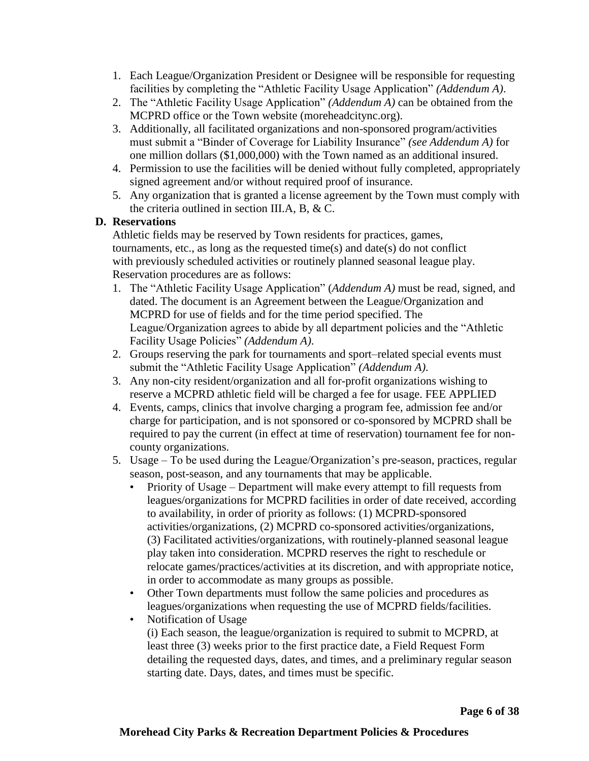- 1. Each League/Organization President or Designee will be responsible for requesting facilities by completing the "Athletic Facility Usage Application" *(Addendum A)*.
- 2. The "Athletic Facility Usage Application" *(Addendum A)* can be obtained from the MCPRD office or the Town website (moreheadcitync.org).
- 3. Additionally, all facilitated organizations and non-sponsored program/activities must submit a "Binder of Coverage for Liability Insurance" *(see Addendum A)* for one million dollars (\$1,000,000) with the Town named as an additional insured.
- 4. Permission to use the facilities will be denied without fully completed, appropriately signed agreement and/or without required proof of insurance.
- 5. Any organization that is granted a license agreement by the Town must comply with the criteria outlined in section III.A, B, & C.

# **D. Reservations**

Athletic fields may be reserved by Town residents for practices, games, tournaments, etc., as long as the requested time(s) and date(s) do not conflict with previously scheduled activities or routinely planned seasonal league play. Reservation procedures are as follows:

- 1. The "Athletic Facility Usage Application" (*Addendum A)* must be read, signed, and dated. The document is an Agreement between the League/Organization and MCPRD for use of fields and for the time period specified. The League/Organization agrees to abide by all department policies and the "Athletic Facility Usage Policies" *(Addendum A)*.
- 2. Groups reserving the park for tournaments and sport–related special events must submit the "Athletic Facility Usage Application" *(Addendum A)*.
- 3. Any non-city resident/organization and all for-profit organizations wishing to reserve a MCPRD athletic field will be charged a fee for usage. FEE APPLIED
- 4. Events, camps, clinics that involve charging a program fee, admission fee and/or charge for participation, and is not sponsored or co-sponsored by MCPRD shall be required to pay the current (in effect at time of reservation) tournament fee for noncounty organizations.
- 5. Usage To be used during the League/Organization's pre-season, practices, regular season, post-season, and any tournaments that may be applicable.
	- Priority of Usage Department will make every attempt to fill requests from leagues/organizations for MCPRD facilities in order of date received, according to availability, in order of priority as follows: (1) MCPRD-sponsored activities/organizations, (2) MCPRD co-sponsored activities/organizations, (3) Facilitated activities/organizations, with routinely-planned seasonal league play taken into consideration. MCPRD reserves the right to reschedule or relocate games/practices/activities at its discretion, and with appropriate notice, in order to accommodate as many groups as possible.
	- Other Town departments must follow the same policies and procedures as leagues/organizations when requesting the use of MCPRD fields/facilities.
	- Notification of Usage (i) Each season, the league/organization is required to submit to MCPRD, at least three (3) weeks prior to the first practice date, a Field Request Form detailing the requested days, dates, and times, and a preliminary regular season starting date. Days, dates, and times must be specific.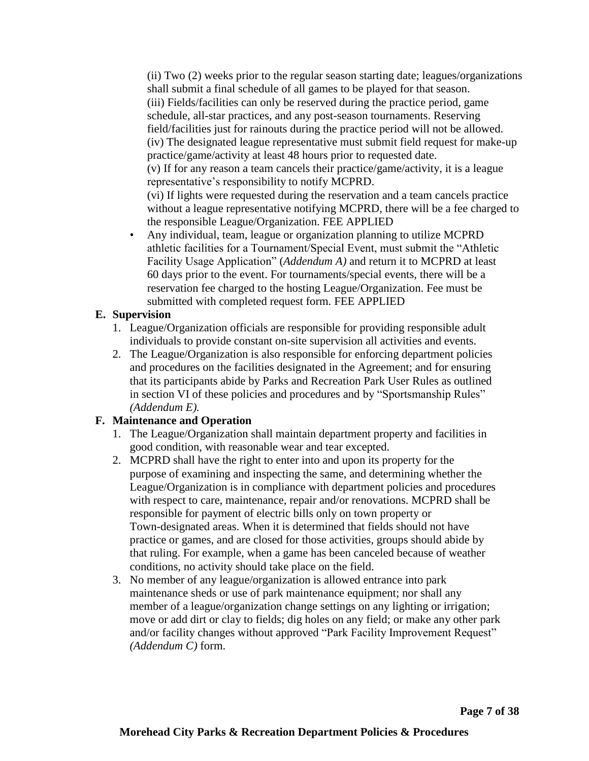(ii) Two (2) weeks prior to the regular season starting date; leagues/organizations shall submit a final schedule of all games to be played for that season. (iii) Fields/facilities can only be reserved during the practice period, game schedule, all-star practices, and any post-season tournaments. Reserving field/facilities just for rainouts during the practice period will not be allowed. (iv) The designated league representative must submit field request for make-up practice/game/activity at least 48 hours prior to requested date. (v) If for any reason a team cancels their practice/game/activity, it is a league representative's responsibility to notify MCPRD. (vi) If lights were requested during the reservation and a team cancels practice without a league representative notifying MCPRD, there will be a fee charged to the responsible League/Organization. FEE APPLIED

• Any individual, team, league or organization planning to utilize MCPRD athletic facilities for a Tournament/Special Event, must submit the "Athletic Facility Usage Application" (*Addendum A)* and return it to MCPRD at least 60 days prior to the event. For tournaments/special events, there will be a reservation fee charged to the hosting League/Organization. Fee must be submitted with completed request form. FEE APPLIED

#### **E. Supervision**

- 1. League/Organization officials are responsible for providing responsible adult individuals to provide constant on-site supervision all activities and events.
- 2. The League/Organization is also responsible for enforcing department policies and procedures on the facilities designated in the Agreement; and for ensuring that its participants abide by Parks and Recreation Park User Rules as outlined in section VI of these policies and procedures and by "Sportsmanship Rules" *(Addendum E).*

#### **F. Maintenance and Operation**

- 1. The League/Organization shall maintain department property and facilities in good condition, with reasonable wear and tear excepted.
- 2. MCPRD shall have the right to enter into and upon its property for the purpose of examining and inspecting the same, and determining whether the League/Organization is in compliance with department policies and procedures with respect to care, maintenance, repair and/or renovations. MCPRD shall be responsible for payment of electric bills only on town property or Town-designated areas. When it is determined that fields should not have practice or games, and are closed for those activities, groups should abide by that ruling. For example, when a game has been canceled because of weather conditions, no activity should take place on the field.
- 3. No member of any league/organization is allowed entrance into park maintenance sheds or use of park maintenance equipment; nor shall any member of a league/organization change settings on any lighting or irrigation; move or add dirt or clay to fields; dig holes on any field; or make any other park and/or facility changes without approved "Park Facility Improvement Request" *(Addendum C)* form.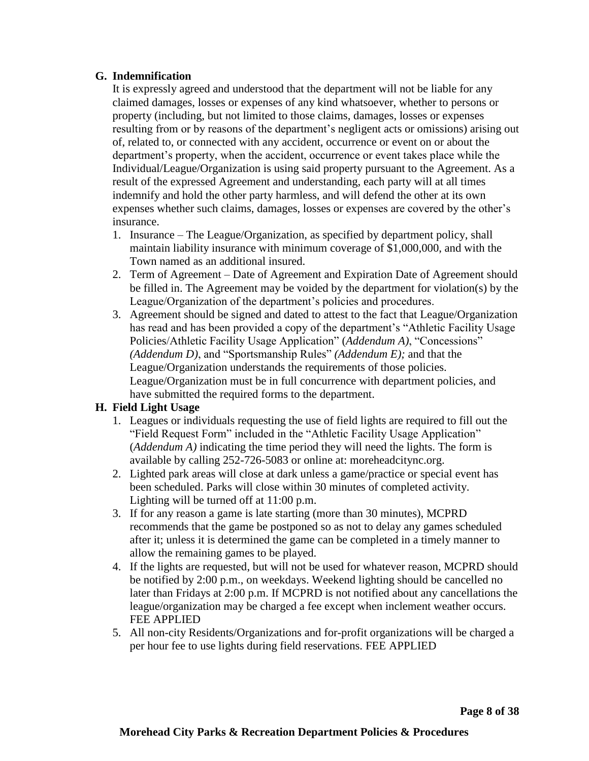#### **G. Indemnification**

It is expressly agreed and understood that the department will not be liable for any claimed damages, losses or expenses of any kind whatsoever, whether to persons or property (including, but not limited to those claims, damages, losses or expenses resulting from or by reasons of the department's negligent acts or omissions) arising out of, related to, or connected with any accident, occurrence or event on or about the department's property, when the accident, occurrence or event takes place while the Individual/League/Organization is using said property pursuant to the Agreement. As a result of the expressed Agreement and understanding, each party will at all times indemnify and hold the other party harmless, and will defend the other at its own expenses whether such claims, damages, losses or expenses are covered by the other's insurance.

- 1. Insurance The League/Organization, as specified by department policy, shall maintain liability insurance with minimum coverage of \$1,000,000, and with the Town named as an additional insured.
- 2. Term of Agreement Date of Agreement and Expiration Date of Agreement should be filled in. The Agreement may be voided by the department for violation(s) by the League/Organization of the department's policies and procedures.
- 3. Agreement should be signed and dated to attest to the fact that League/Organization has read and has been provided a copy of the department's "Athletic Facility Usage Policies/Athletic Facility Usage Application" (*Addendum A)*, "Concessions" *(Addendum D)*, and "Sportsmanship Rules" *(Addendum E);* and that the League/Organization understands the requirements of those policies. League/Organization must be in full concurrence with department policies, and have submitted the required forms to the department.

#### **H. Field Light Usage**

- 1. Leagues or individuals requesting the use of field lights are required to fill out the "Field Request Form" included in the "Athletic Facility Usage Application" (*Addendum A)* indicating the time period they will need the lights. The form is available by calling 252-726-5083 or online at: moreheadcitync.org.
- 2. Lighted park areas will close at dark unless a game/practice or special event has been scheduled. Parks will close within 30 minutes of completed activity. Lighting will be turned off at 11:00 p.m.
- 3. If for any reason a game is late starting (more than 30 minutes), MCPRD recommends that the game be postponed so as not to delay any games scheduled after it; unless it is determined the game can be completed in a timely manner to allow the remaining games to be played.
- 4. If the lights are requested, but will not be used for whatever reason, MCPRD should be notified by 2:00 p.m., on weekdays. Weekend lighting should be cancelled no later than Fridays at 2:00 p.m. If MCPRD is not notified about any cancellations the league/organization may be charged a fee except when inclement weather occurs. FEE APPLIED
- 5. All non-city Residents/Organizations and for-profit organizations will be charged a per hour fee to use lights during field reservations. FEE APPLIED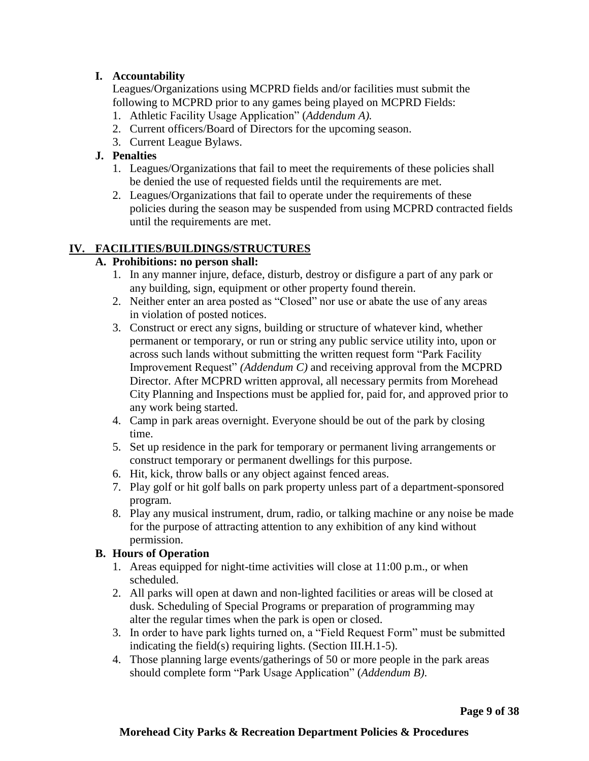# **I. Accountability**

Leagues/Organizations using MCPRD fields and/or facilities must submit the following to MCPRD prior to any games being played on MCPRD Fields:

- 1. Athletic Facility Usage Application" (*Addendum A).*
- 2. Current officers/Board of Directors for the upcoming season.
- 3. Current League Bylaws.

# **J. Penalties**

- 1. Leagues/Organizations that fail to meet the requirements of these policies shall be denied the use of requested fields until the requirements are met.
- 2. Leagues/Organizations that fail to operate under the requirements of these policies during the season may be suspended from using MCPRD contracted fields until the requirements are met.

# **IV. FACILITIES/BUILDINGS/STRUCTURES**

#### **A. Prohibitions: no person shall:**

- 1. In any manner injure, deface, disturb, destroy or disfigure a part of any park or any building, sign, equipment or other property found therein.
- 2. Neither enter an area posted as "Closed" nor use or abate the use of any areas in violation of posted notices.
- 3. Construct or erect any signs, building or structure of whatever kind, whether permanent or temporary, or run or string any public service utility into, upon or across such lands without submitting the written request form "Park Facility Improvement Request" *(Addendum C)* and receiving approval from the MCPRD Director. After MCPRD written approval, all necessary permits from Morehead City Planning and Inspections must be applied for, paid for, and approved prior to any work being started.
- 4. Camp in park areas overnight. Everyone should be out of the park by closing time.
- 5. Set up residence in the park for temporary or permanent living arrangements or construct temporary or permanent dwellings for this purpose.
- 6. Hit, kick, throw balls or any object against fenced areas.
- 7. Play golf or hit golf balls on park property unless part of a department-sponsored program.
- 8. Play any musical instrument, drum, radio, or talking machine or any noise be made for the purpose of attracting attention to any exhibition of any kind without permission.

#### **B. Hours of Operation**

- 1. Areas equipped for night-time activities will close at 11:00 p.m., or when scheduled.
- 2. All parks will open at dawn and non-lighted facilities or areas will be closed at dusk. Scheduling of Special Programs or preparation of programming may alter the regular times when the park is open or closed.
- 3. In order to have park lights turned on, a "Field Request Form" must be submitted indicating the field(s) requiring lights. (Section III.H.1-5).
- 4. Those planning large events/gatherings of 50 or more people in the park areas should complete form "Park Usage Application" (*Addendum B)*.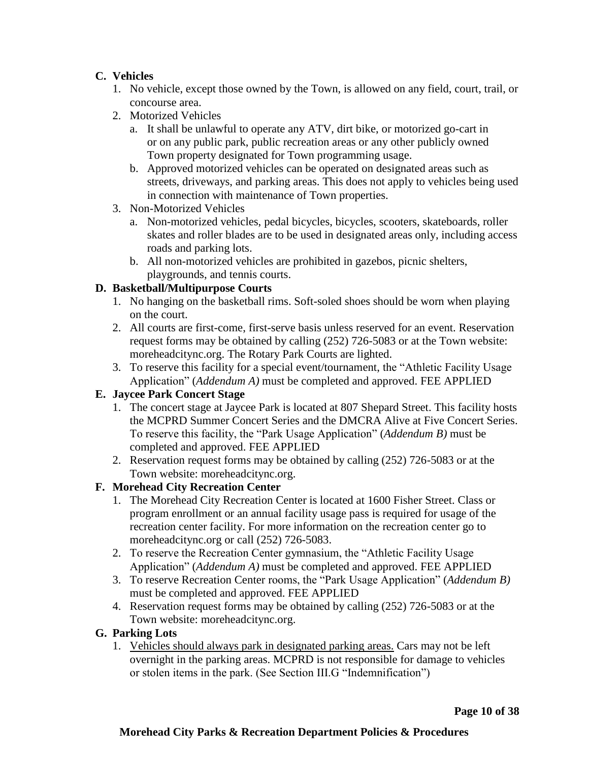# **C. Vehicles**

- 1. No vehicle, except those owned by the Town, is allowed on any field, court, trail, or concourse area.
- 2. Motorized Vehicles
	- a. It shall be unlawful to operate any ATV, dirt bike, or motorized go-cart in or on any public park, public recreation areas or any other publicly owned Town property designated for Town programming usage.
	- b. Approved motorized vehicles can be operated on designated areas such as streets, driveways, and parking areas. This does not apply to vehicles being used in connection with maintenance of Town properties.
- 3. Non-Motorized Vehicles
	- a. Non-motorized vehicles, pedal bicycles, bicycles, scooters, skateboards, roller skates and roller blades are to be used in designated areas only, including access roads and parking lots.
	- b. All non-motorized vehicles are prohibited in gazebos, picnic shelters, playgrounds, and tennis courts.

# **D. Basketball/Multipurpose Courts**

- 1. No hanging on the basketball rims. Soft-soled shoes should be worn when playing on the court.
- 2. All courts are first-come, first-serve basis unless reserved for an event. Reservation request forms may be obtained by calling (252) 726-5083 or at the Town website: moreheadcitync.org. The Rotary Park Courts are lighted.
- 3. To reserve this facility for a special event/tournament, the "Athletic Facility Usage Application" (*Addendum A)* must be completed and approved. FEE APPLIED

#### **E. Jaycee Park Concert Stage**

- 1. The concert stage at Jaycee Park is located at 807 Shepard Street. This facility hosts the MCPRD Summer Concert Series and the DMCRA Alive at Five Concert Series. To reserve this facility, the "Park Usage Application" (*Addendum B)* must be completed and approved. FEE APPLIED
- 2. Reservation request forms may be obtained by calling (252) 726-5083 or at the Town website: moreheadcitync.org.

#### **F. Morehead City Recreation Center**

- 1. The Morehead City Recreation Center is located at 1600 Fisher Street. Class or program enrollment or an annual facility usage pass is required for usage of the recreation center facility. For more information on the recreation center go to moreheadcitync.org or call (252) 726-5083.
- 2. To reserve the Recreation Center gymnasium, the "Athletic Facility Usage Application" (*Addendum A)* must be completed and approved. FEE APPLIED
- 3. To reserve Recreation Center rooms, the "Park Usage Application" (*Addendum B)*  must be completed and approved. FEE APPLIED
- 4. Reservation request forms may be obtained by calling (252) 726-5083 or at the Town website: moreheadcitync.org.
- **G. Parking Lots**
	- 1. Vehicles should always park in designated parking areas. Cars may not be left overnight in the parking areas. MCPRD is not responsible for damage to vehicles or stolen items in the park. (See Section III.G "Indemnification")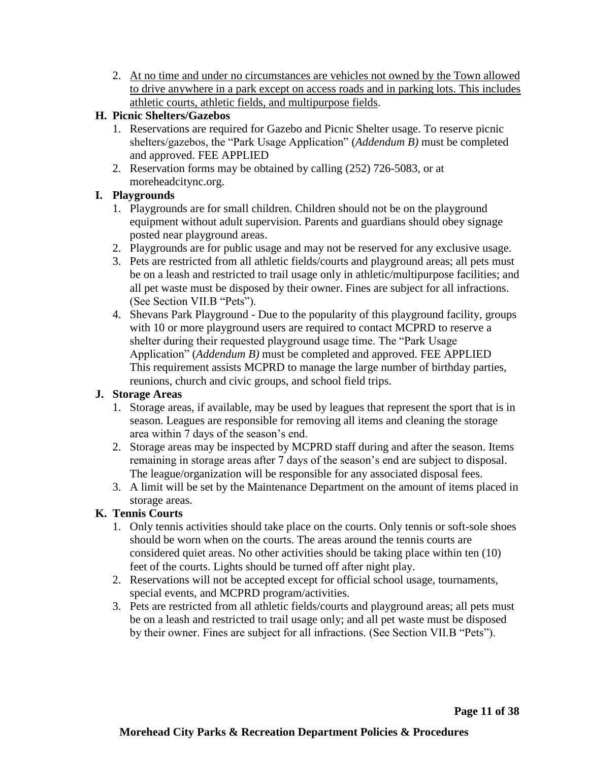2. At no time and under no circumstances are vehicles not owned by the Town allowed to drive anywhere in a park except on access roads and in parking lots. This includes athletic courts, athletic fields, and multipurpose fields.

# **H. Picnic Shelters/Gazebos**

- 1. Reservations are required for Gazebo and Picnic Shelter usage. To reserve picnic shelters/gazebos, the "Park Usage Application" (*Addendum B)* must be completed and approved. FEE APPLIED
- 2. Reservation forms may be obtained by calling (252) 726-5083, or at moreheadcitync.org.

# **I. Playgrounds**

- 1. Playgrounds are for small children. Children should not be on the playground equipment without adult supervision. Parents and guardians should obey signage posted near playground areas.
- 2. Playgrounds are for public usage and may not be reserved for any exclusive usage.
- 3. Pets are restricted from all athletic fields/courts and playground areas; all pets must be on a leash and restricted to trail usage only in athletic/multipurpose facilities; and all pet waste must be disposed by their owner. Fines are subject for all infractions. (See Section VII.B "Pets").
- 4. Shevans Park Playground Due to the popularity of this playground facility, groups with 10 or more playground users are required to contact MCPRD to reserve a shelter during their requested playground usage time. The "Park Usage Application" (*Addendum B)* must be completed and approved. FEE APPLIED This requirement assists MCPRD to manage the large number of birthday parties, reunions, church and civic groups, and school field trips.

# **J. Storage Areas**

- 1. Storage areas, if available, may be used by leagues that represent the sport that is in season. Leagues are responsible for removing all items and cleaning the storage area within 7 days of the season's end.
- 2. Storage areas may be inspected by MCPRD staff during and after the season. Items remaining in storage areas after 7 days of the season's end are subject to disposal. The league/organization will be responsible for any associated disposal fees.
- 3. A limit will be set by the Maintenance Department on the amount of items placed in storage areas.

# **K. Tennis Courts**

- 1. Only tennis activities should take place on the courts. Only tennis or soft-sole shoes should be worn when on the courts. The areas around the tennis courts are considered quiet areas. No other activities should be taking place within ten (10) feet of the courts. Lights should be turned off after night play.
- 2. Reservations will not be accepted except for official school usage, tournaments, special events, and MCPRD program/activities.
- 3. Pets are restricted from all athletic fields/courts and playground areas; all pets must be on a leash and restricted to trail usage only; and all pet waste must be disposed by their owner. Fines are subject for all infractions. (See Section VII.B "Pets").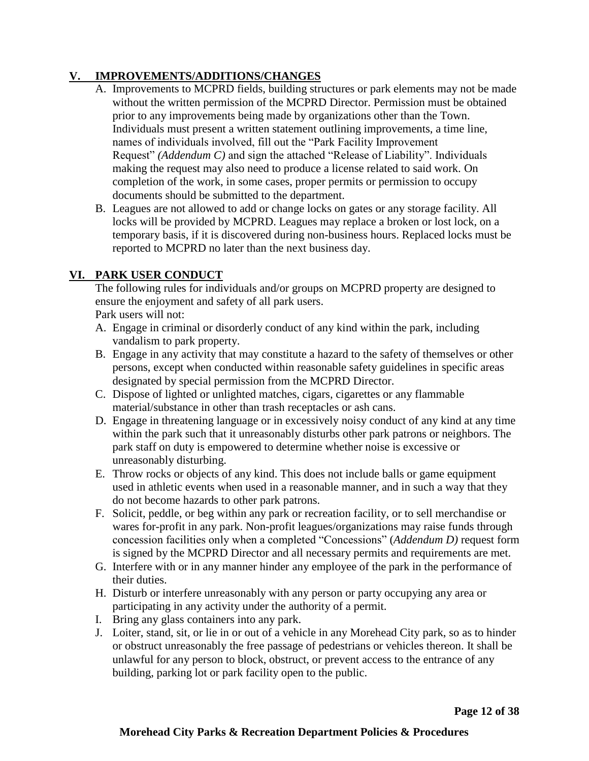# **V. IMPROVEMENTS/ADDITIONS/CHANGES**

- A. Improvements to MCPRD fields, building structures or park elements may not be made without the written permission of the MCPRD Director. Permission must be obtained prior to any improvements being made by organizations other than the Town. Individuals must present a written statement outlining improvements, a time line, names of individuals involved, fill out the "Park Facility Improvement Request" *(Addendum C)* and sign the attached "Release of Liability". Individuals making the request may also need to produce a license related to said work. On completion of the work, in some cases, proper permits or permission to occupy documents should be submitted to the department.
- B. Leagues are not allowed to add or change locks on gates or any storage facility. All locks will be provided by MCPRD. Leagues may replace a broken or lost lock, on a temporary basis, if it is discovered during non-business hours. Replaced locks must be reported to MCPRD no later than the next business day.

# **VI. PARK USER CONDUCT**

The following rules for individuals and/or groups on MCPRD property are designed to ensure the enjoyment and safety of all park users.

Park users will not:

- A. Engage in criminal or disorderly conduct of any kind within the park, including vandalism to park property.
- B. Engage in any activity that may constitute a hazard to the safety of themselves or other persons, except when conducted within reasonable safety guidelines in specific areas designated by special permission from the MCPRD Director.
- C. Dispose of lighted or unlighted matches, cigars, cigarettes or any flammable material/substance in other than trash receptacles or ash cans.
- D. Engage in threatening language or in excessively noisy conduct of any kind at any time within the park such that it unreasonably disturbs other park patrons or neighbors. The park staff on duty is empowered to determine whether noise is excessive or unreasonably disturbing.
- E. Throw rocks or objects of any kind. This does not include balls or game equipment used in athletic events when used in a reasonable manner, and in such a way that they do not become hazards to other park patrons.
- F. Solicit, peddle, or beg within any park or recreation facility, or to sell merchandise or wares for-profit in any park. Non-profit leagues/organizations may raise funds through concession facilities only when a completed "Concessions" (*Addendum D)* request form is signed by the MCPRD Director and all necessary permits and requirements are met.
- G. Interfere with or in any manner hinder any employee of the park in the performance of their duties.
- H. Disturb or interfere unreasonably with any person or party occupying any area or participating in any activity under the authority of a permit.
- I. Bring any glass containers into any park.
- J. Loiter, stand, sit, or lie in or out of a vehicle in any Morehead City park, so as to hinder or obstruct unreasonably the free passage of pedestrians or vehicles thereon. It shall be unlawful for any person to block, obstruct, or prevent access to the entrance of any building, parking lot or park facility open to the public.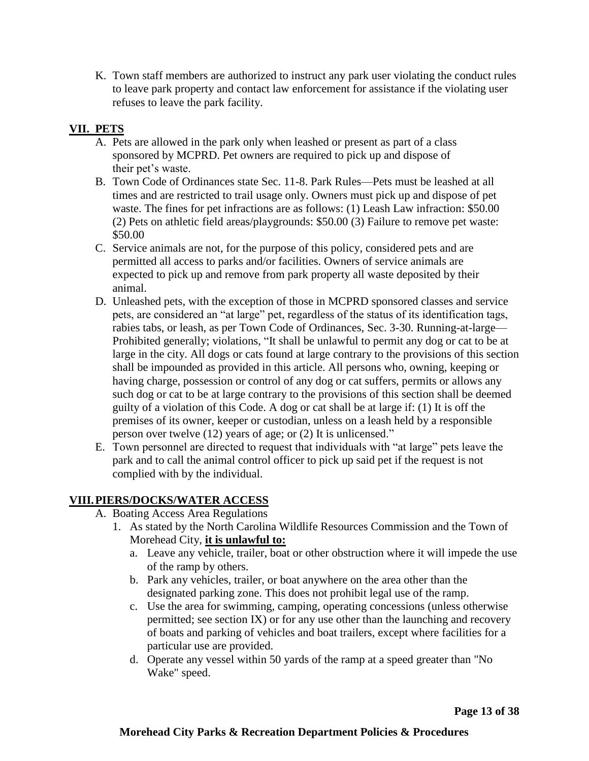K. Town staff members are authorized to instruct any park user violating the conduct rules to leave park property and contact law enforcement for assistance if the violating user refuses to leave the park facility.

# **VII. PETS**

- A. Pets are allowed in the park only when leashed or present as part of a class sponsored by MCPRD. Pet owners are required to pick up and dispose of their pet's waste.
- B. Town Code of Ordinances state Sec. 11-8. Park Rules—Pets must be leashed at all times and are restricted to trail usage only. Owners must pick up and dispose of pet waste. The fines for pet infractions are as follows: (1) Leash Law infraction: \$50.00 (2) Pets on athletic field areas/playgrounds: \$50.00 (3) Failure to remove pet waste: \$50.00
- C. Service animals are not, for the purpose of this policy, considered pets and are permitted all access to parks and/or facilities. Owners of service animals are expected to pick up and remove from park property all waste deposited by their animal.
- D. Unleashed pets, with the exception of those in MCPRD sponsored classes and service pets, are considered an "at large" pet, regardless of the status of its identification tags, rabies tabs, or leash, as per Town Code of Ordinances, Sec. 3-30. Running-at-large— Prohibited generally; violations, "It shall be unlawful to permit any dog or cat to be at large in the city. All dogs or cats found at large contrary to the provisions of this section shall be impounded as provided in this article. All persons who, owning, keeping or having charge, possession or control of any dog or cat suffers, permits or allows any such dog or cat to be at large contrary to the provisions of this section shall be deemed guilty of a violation of this Code. A dog or cat shall be at large if: (1) It is off the premises of its owner, keeper or custodian, unless on a leash held by a responsible person over twelve (12) years of age; or (2) It is unlicensed."
- E. Town personnel are directed to request that individuals with "at large" pets leave the park and to call the animal control officer to pick up said pet if the request is not complied with by the individual.

# **VIII.PIERS/DOCKS/WATER ACCESS**

- A. Boating Access Area Regulations
	- 1. As stated by the North Carolina Wildlife Resources Commission and the Town of Morehead City, **it is unlawful to:**
		- a. Leave any vehicle, trailer, boat or other obstruction where it will impede the use of the ramp by others.
		- b. Park any vehicles, trailer, or boat anywhere on the area other than the designated parking zone. This does not prohibit legal use of the ramp.
		- c. Use the area for swimming, camping, operating concessions (unless otherwise permitted; see section IX) or for any use other than the launching and recovery of boats and parking of vehicles and boat trailers, except where facilities for a particular use are provided.
		- d. Operate any vessel within 50 yards of the ramp at a speed greater than "No Wake" speed.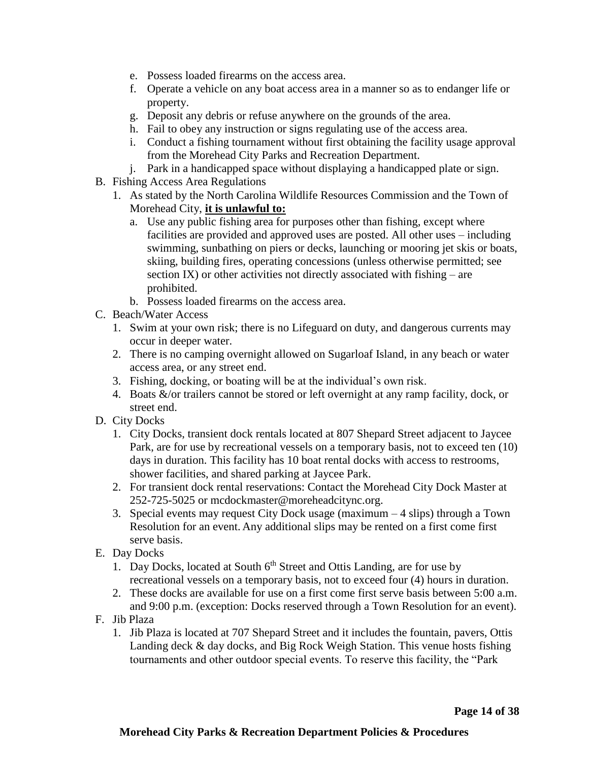- e. Possess loaded firearms on the access area.
- f. Operate a vehicle on any boat access area in a manner so as to endanger life or property.
- g. Deposit any debris or refuse anywhere on the grounds of the area.
- h. Fail to obey any instruction or signs regulating use of the access area.
- i. Conduct a fishing tournament without first obtaining the facility usage approval from the Morehead City Parks and Recreation Department.
- j. Park in a handicapped space without displaying a handicapped plate or sign.
- B. Fishing Access Area Regulations
	- 1. As stated by the North Carolina Wildlife Resources Commission and the Town of Morehead City, **it is unlawful to:**
		- a. Use any public fishing area for purposes other than fishing, except where facilities are provided and approved uses are posted. All other uses – including swimming, sunbathing on piers or decks, launching or mooring jet skis or boats, skiing, building fires, operating concessions (unless otherwise permitted; see section IX) or other activities not directly associated with fishing – are prohibited.
		- b. Possess loaded firearms on the access area.
- C. Beach/Water Access
	- 1. Swim at your own risk; there is no Lifeguard on duty, and dangerous currents may occur in deeper water.
	- 2. There is no camping overnight allowed on Sugarloaf Island, in any beach or water access area, or any street end.
	- 3. Fishing, docking, or boating will be at the individual's own risk.
	- 4. Boats &/or trailers cannot be stored or left overnight at any ramp facility, dock, or street end.
- D. City Docks
	- 1. City Docks, transient dock rentals located at 807 Shepard Street adjacent to Jaycee Park, are for use by recreational vessels on a temporary basis, not to exceed ten (10) days in duration. This facility has 10 boat rental docks with access to restrooms, shower facilities, and shared parking at Jaycee Park.
	- 2. For transient dock rental reservations: Contact the Morehead City Dock Master at 252-725-5025 or mcdockmaster@moreheadcitync.org.
	- 3. Special events may request City Dock usage (maximum 4 slips) through a Town Resolution for an event. Any additional slips may be rented on a first come first serve basis.
- E. Day Docks
	- 1. Day Docks, located at South  $6<sup>th</sup>$  Street and Ottis Landing, are for use by recreational vessels on a temporary basis, not to exceed four (4) hours in duration.
	- 2. These docks are available for use on a first come first serve basis between 5:00 a.m. and 9:00 p.m. (exception: Docks reserved through a Town Resolution for an event).
- F. Jib Plaza
	- 1. Jib Plaza is located at 707 Shepard Street and it includes the fountain, pavers, Ottis Landing deck & day docks, and Big Rock Weigh Station. This venue hosts fishing tournaments and other outdoor special events. To reserve this facility, the "Park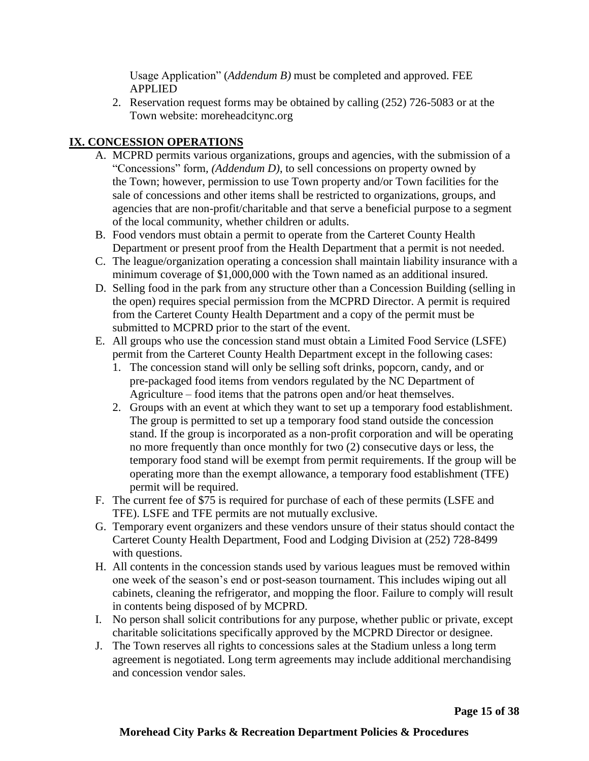Usage Application" (*Addendum B)* must be completed and approved. FEE APPLIED

2. Reservation request forms may be obtained by calling (252) 726-5083 or at the Town website: moreheadcitync.org

# **IX. CONCESSION OPERATIONS**

- A. MCPRD permits various organizations, groups and agencies, with the submission of a "Concessions" form*, (Addendum D)*, to sell concessions on property owned by the Town; however, permission to use Town property and/or Town facilities for the sale of concessions and other items shall be restricted to organizations, groups, and agencies that are non-profit/charitable and that serve a beneficial purpose to a segment of the local community, whether children or adults.
- B. Food vendors must obtain a permit to operate from the Carteret County Health Department or present proof from the Health Department that a permit is not needed.
- C. The league/organization operating a concession shall maintain liability insurance with a minimum coverage of \$1,000,000 with the Town named as an additional insured.
- D. Selling food in the park from any structure other than a Concession Building (selling in the open) requires special permission from the MCPRD Director. A permit is required from the Carteret County Health Department and a copy of the permit must be submitted to MCPRD prior to the start of the event.
- E. All groups who use the concession stand must obtain a Limited Food Service (LSFE) permit from the Carteret County Health Department except in the following cases:
	- 1. The concession stand will only be selling soft drinks, popcorn, candy, and or pre-packaged food items from vendors regulated by the NC Department of Agriculture – food items that the patrons open and/or heat themselves.
	- 2. Groups with an event at which they want to set up a temporary food establishment. The group is permitted to set up a temporary food stand outside the concession stand. If the group is incorporated as a non-profit corporation and will be operating no more frequently than once monthly for two (2) consecutive days or less, the temporary food stand will be exempt from permit requirements. If the group will be operating more than the exempt allowance, a temporary food establishment (TFE) permit will be required.
- F. The current fee of \$75 is required for purchase of each of these permits (LSFE and TFE). LSFE and TFE permits are not mutually exclusive.
- G. Temporary event organizers and these vendors unsure of their status should contact the Carteret County Health Department, Food and Lodging Division at (252) 728-8499 with questions.
- H. All contents in the concession stands used by various leagues must be removed within one week of the season's end or post-season tournament. This includes wiping out all cabinets, cleaning the refrigerator, and mopping the floor. Failure to comply will result in contents being disposed of by MCPRD.
- I. No person shall solicit contributions for any purpose, whether public or private, except charitable solicitations specifically approved by the MCPRD Director or designee.
- J. The Town reserves all rights to concessions sales at the Stadium unless a long term agreement is negotiated. Long term agreements may include additional merchandising and concession vendor sales.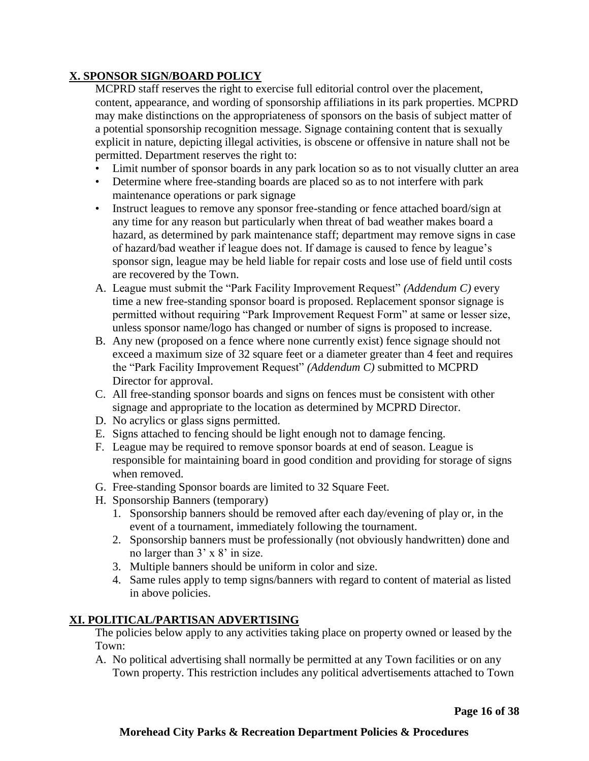## **X. SPONSOR SIGN/BOARD POLICY**

MCPRD staff reserves the right to exercise full editorial control over the placement, content, appearance, and wording of sponsorship affiliations in its park properties. MCPRD may make distinctions on the appropriateness of sponsors on the basis of subject matter of a potential sponsorship recognition message. Signage containing content that is sexually explicit in nature, depicting illegal activities, is obscene or offensive in nature shall not be permitted. Department reserves the right to:

- Limit number of sponsor boards in any park location so as to not visually clutter an area
- Determine where free-standing boards are placed so as to not interfere with park maintenance operations or park signage
- Instruct leagues to remove any sponsor free-standing or fence attached board/sign at any time for any reason but particularly when threat of bad weather makes board a hazard, as determined by park maintenance staff; department may remove signs in case of hazard/bad weather if league does not. If damage is caused to fence by league's sponsor sign, league may be held liable for repair costs and lose use of field until costs are recovered by the Town.
- A. League must submit the "Park Facility Improvement Request" *(Addendum C)* every time a new free-standing sponsor board is proposed. Replacement sponsor signage is permitted without requiring "Park Improvement Request Form" at same or lesser size, unless sponsor name/logo has changed or number of signs is proposed to increase.
- B. Any new (proposed on a fence where none currently exist) fence signage should not exceed a maximum size of 32 square feet or a diameter greater than 4 feet and requires the "Park Facility Improvement Request" *(Addendum C)* submitted to MCPRD Director for approval.
- C. All free-standing sponsor boards and signs on fences must be consistent with other signage and appropriate to the location as determined by MCPRD Director.
- D. No acrylics or glass signs permitted.
- E. Signs attached to fencing should be light enough not to damage fencing.
- F. League may be required to remove sponsor boards at end of season. League is responsible for maintaining board in good condition and providing for storage of signs when removed.
- G. Free-standing Sponsor boards are limited to 32 Square Feet.
- H. Sponsorship Banners (temporary)
	- 1. Sponsorship banners should be removed after each day/evening of play or, in the event of a tournament, immediately following the tournament.
	- 2. Sponsorship banners must be professionally (not obviously handwritten) done and no larger than 3' x 8' in size.
	- 3. Multiple banners should be uniform in color and size.
	- 4. Same rules apply to temp signs/banners with regard to content of material as listed in above policies.

# **XI. POLITICAL/PARTISAN ADVERTISING**

The policies below apply to any activities taking place on property owned or leased by the Town:

A. No political advertising shall normally be permitted at any Town facilities or on any Town property. This restriction includes any political advertisements attached to Town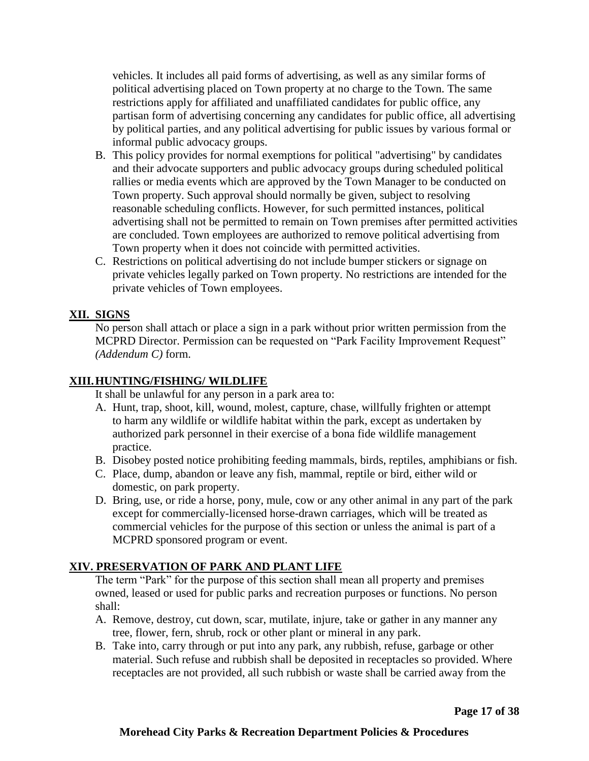vehicles. It includes all paid forms of advertising, as well as any similar forms of political advertising placed on Town property at no charge to the Town. The same restrictions apply for affiliated and unaffiliated candidates for public office, any partisan form of advertising concerning any candidates for public office, all advertising by political parties, and any political advertising for public issues by various formal or informal public advocacy groups.

- B. This policy provides for normal exemptions for political "advertising" by candidates and their advocate supporters and public advocacy groups during scheduled political rallies or media events which are approved by the Town Manager to be conducted on Town property. Such approval should normally be given, subject to resolving reasonable scheduling conflicts. However, for such permitted instances, political advertising shall not be permitted to remain on Town premises after permitted activities are concluded. Town employees are authorized to remove political advertising from Town property when it does not coincide with permitted activities.
- C. Restrictions on political advertising do not include bumper stickers or signage on private vehicles legally parked on Town property. No restrictions are intended for the private vehicles of Town employees.

#### **XII. SIGNS**

No person shall attach or place a sign in a park without prior written permission from the MCPRD Director. Permission can be requested on "Park Facility Improvement Request" *(Addendum C)* form.

#### **XIII.HUNTING/FISHING/ WILDLIFE**

It shall be unlawful for any person in a park area to:

- A. Hunt, trap, shoot, kill, wound, molest, capture, chase, willfully frighten or attempt to harm any wildlife or wildlife habitat within the park, except as undertaken by authorized park personnel in their exercise of a bona fide wildlife management practice.
- B. Disobey posted notice prohibiting feeding mammals, birds, reptiles, amphibians or fish.
- C. Place, dump, abandon or leave any fish, mammal, reptile or bird, either wild or domestic, on park property.
- D. Bring, use, or ride a horse, pony, mule, cow or any other animal in any part of the park except for commercially-licensed horse-drawn carriages, which will be treated as commercial vehicles for the purpose of this section or unless the animal is part of a MCPRD sponsored program or event.

#### **XIV. PRESERVATION OF PARK AND PLANT LIFE**

The term "Park" for the purpose of this section shall mean all property and premises owned, leased or used for public parks and recreation purposes or functions. No person shall:

- A. Remove, destroy, cut down, scar, mutilate, injure, take or gather in any manner any tree, flower, fern, shrub, rock or other plant or mineral in any park.
- B. Take into, carry through or put into any park, any rubbish, refuse, garbage or other material. Such refuse and rubbish shall be deposited in receptacles so provided. Where receptacles are not provided, all such rubbish or waste shall be carried away from the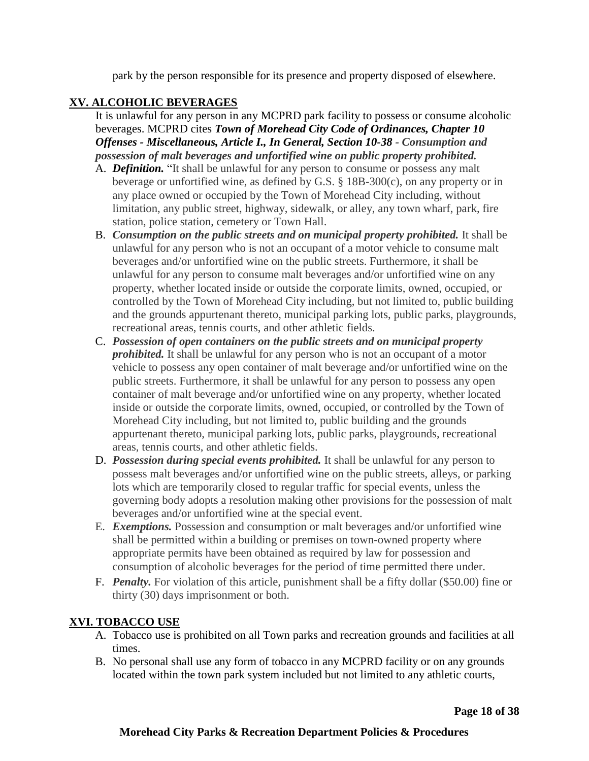park by the person responsible for its presence and property disposed of elsewhere.

# **XV. ALCOHOLIC BEVERAGES**

It is unlawful for any person in any MCPRD park facility to possess or consume alcoholic beverages. MCPRD cites *Town of Morehead City Code of Ordinances, Chapter 10 Offenses - Miscellaneous, Article I., In General, Section 10-38 - Consumption and possession of malt beverages and unfortified wine on public property prohibited.*

- A. *Definition.* "It shall be unlawful for any person to consume or possess any malt beverage or unfortified wine, as defined by G.S. § 18B-300(c), on any property or in any place owned or occupied by the Town of Morehead City including, without limitation, any public street, highway, sidewalk, or alley, any town wharf, park, fire station, police station, cemetery or Town Hall.
- B. *Consumption on the public streets and on municipal property prohibited.* It shall be unlawful for any person who is not an occupant of a motor vehicle to consume malt beverages and/or unfortified wine on the public streets. Furthermore, it shall be unlawful for any person to consume malt beverages and/or unfortified wine on any property, whether located inside or outside the corporate limits, owned, occupied, or controlled by the Town of Morehead City including, but not limited to, public building and the grounds appurtenant thereto, municipal parking lots, public parks, playgrounds, recreational areas, tennis courts, and other athletic fields.
- C. *Possession of open containers on the public streets and on municipal property prohibited.* It shall be unlawful for any person who is not an occupant of a motor vehicle to possess any open container of malt beverage and/or unfortified wine on the public streets. Furthermore, it shall be unlawful for any person to possess any open container of malt beverage and/or unfortified wine on any property, whether located inside or outside the corporate limits, owned, occupied, or controlled by the Town of Morehead City including, but not limited to, public building and the grounds appurtenant thereto, municipal parking lots, public parks, playgrounds, recreational areas, tennis courts, and other athletic fields.
- D. *Possession during special events prohibited.* It shall be unlawful for any person to possess malt beverages and/or unfortified wine on the public streets, alleys, or parking lots which are temporarily closed to regular traffic for special events, unless the governing body adopts a resolution making other provisions for the possession of malt beverages and/or unfortified wine at the special event.
- E. *Exemptions.* Possession and consumption or malt beverages and/or unfortified wine shall be permitted within a building or premises on town-owned property where appropriate permits have been obtained as required by law for possession and consumption of alcoholic beverages for the period of time permitted there under.
- F. *Penalty.* For violation of this article, punishment shall be a fifty dollar (\$50.00) fine or thirty (30) days imprisonment or both.

# **XVI. TOBACCO USE**

- A. Tobacco use is prohibited on all Town parks and recreation grounds and facilities at all times.
- B. No personal shall use any form of tobacco in any MCPRD facility or on any grounds located within the town park system included but not limited to any athletic courts,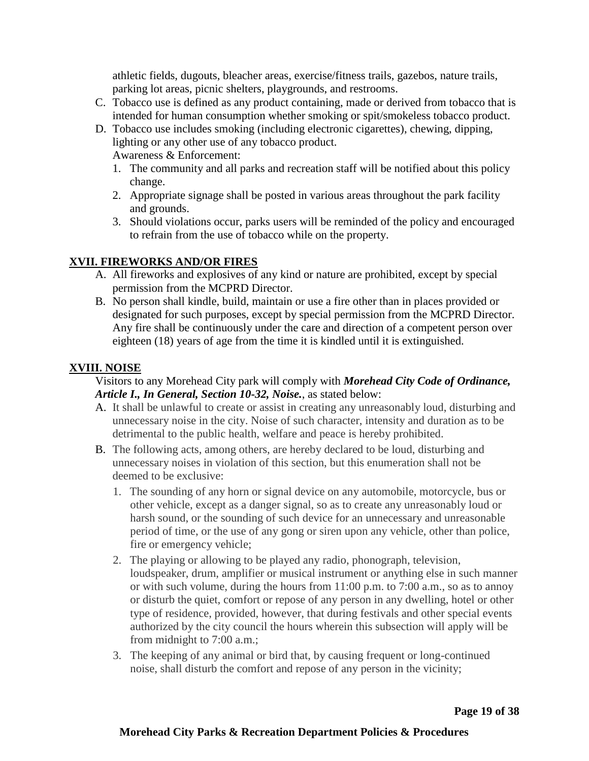athletic fields, dugouts, bleacher areas, exercise/fitness trails, gazebos, nature trails, parking lot areas, picnic shelters, playgrounds, and restrooms.

- C. Tobacco use is defined as any product containing, made or derived from tobacco that is intended for human consumption whether smoking or spit/smokeless tobacco product.
- D. Tobacco use includes smoking (including electronic cigarettes), chewing, dipping, lighting or any other use of any tobacco product. Awareness & Enforcement:
	- 1. The community and all parks and recreation staff will be notified about this policy change.
	- 2. Appropriate signage shall be posted in various areas throughout the park facility and grounds.
	- 3. Should violations occur, parks users will be reminded of the policy and encouraged to refrain from the use of tobacco while on the property.

# **XVII. FIREWORKS AND/OR FIRES**

- A. All fireworks and explosives of any kind or nature are prohibited, except by special permission from the MCPRD Director.
- B. No person shall kindle, build, maintain or use a fire other than in places provided or designated for such purposes, except by special permission from the MCPRD Director. Any fire shall be continuously under the care and direction of a competent person over eighteen (18) years of age from the time it is kindled until it is extinguished.

#### **XVIII. NOISE**

#### Visitors to any Morehead City park will comply with *Morehead City Code of Ordinance, Article I., In General, Section 10-32, Noise.*, as stated below:

- A. It shall be unlawful to create or assist in creating any unreasonably loud, disturbing and unnecessary noise in the city. Noise of such character, intensity and duration as to be detrimental to the public health, welfare and peace is hereby prohibited.
- B. The following acts, among others, are hereby declared to be loud, disturbing and unnecessary noises in violation of this section, but this enumeration shall not be deemed to be exclusive:
	- 1. The sounding of any horn or signal device on any automobile, motorcycle, bus or other vehicle, except as a danger signal, so as to create any unreasonably loud or harsh sound, or the sounding of such device for an unnecessary and unreasonable period of time, or the use of any gong or siren upon any vehicle, other than police, fire or emergency vehicle;
	- 2. The playing or allowing to be played any radio, phonograph, television, loudspeaker, drum, amplifier or musical instrument or anything else in such manner or with such volume, during the hours from 11:00 p.m. to 7:00 a.m., so as to annoy or disturb the quiet, comfort or repose of any person in any dwelling, hotel or other type of residence, provided, however, that during festivals and other special events authorized by the city council the hours wherein this subsection will apply will be from midnight to 7:00 a.m.;
	- 3. The keeping of any animal or bird that, by causing frequent or long-continued noise, shall disturb the comfort and repose of any person in the vicinity;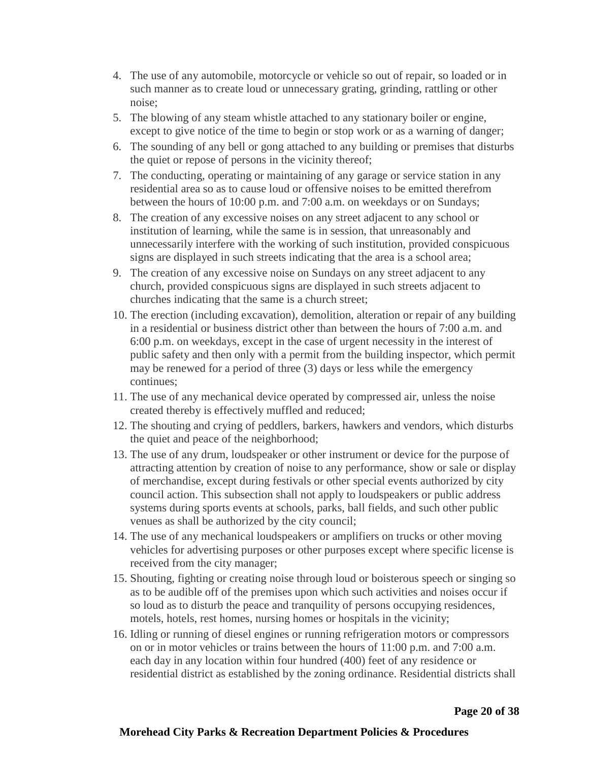- 4. The use of any automobile, motorcycle or vehicle so out of repair, so loaded or in such manner as to create loud or unnecessary grating, grinding, rattling or other noise;
- 5. The blowing of any steam whistle attached to any stationary boiler or engine, except to give notice of the time to begin or stop work or as a warning of danger;
- 6. The sounding of any bell or gong attached to any building or premises that disturbs the quiet or repose of persons in the vicinity thereof;
- 7. The conducting, operating or maintaining of any garage or service station in any residential area so as to cause loud or offensive noises to be emitted therefrom between the hours of 10:00 p.m. and 7:00 a.m. on weekdays or on Sundays;
- 8. The creation of any excessive noises on any street adjacent to any school or institution of learning, while the same is in session, that unreasonably and unnecessarily interfere with the working of such institution, provided conspicuous signs are displayed in such streets indicating that the area is a school area;
- 9. The creation of any excessive noise on Sundays on any street adjacent to any church, provided conspicuous signs are displayed in such streets adjacent to churches indicating that the same is a church street;
- 10. The erection (including excavation), demolition, alteration or repair of any building in a residential or business district other than between the hours of 7:00 a.m. and 6:00 p.m. on weekdays, except in the case of urgent necessity in the interest of public safety and then only with a permit from the building inspector, which permit may be renewed for a period of three (3) days or less while the emergency continues;
- 11. The use of any mechanical device operated by compressed air, unless the noise created thereby is effectively muffled and reduced;
- 12. The shouting and crying of peddlers, barkers, hawkers and vendors, which disturbs the quiet and peace of the neighborhood;
- 13. The use of any drum, loudspeaker or other instrument or device for the purpose of attracting attention by creation of noise to any performance, show or sale or display of merchandise, except during festivals or other special events authorized by city council action. This subsection shall not apply to loudspeakers or public address systems during sports events at schools, parks, ball fields, and such other public venues as shall be authorized by the city council;
- 14. The use of any mechanical loudspeakers or amplifiers on trucks or other moving vehicles for advertising purposes or other purposes except where specific license is received from the city manager;
- 15. Shouting, fighting or creating noise through loud or boisterous speech or singing so as to be audible off of the premises upon which such activities and noises occur if so loud as to disturb the peace and tranquility of persons occupying residences, motels, hotels, rest homes, nursing homes or hospitals in the vicinity;
- 16. Idling or running of diesel engines or running refrigeration motors or compressors on or in motor vehicles or trains between the hours of 11:00 p.m. and 7:00 a.m. each day in any location within four hundred (400) feet of any residence or residential district as established by the zoning ordinance. Residential districts shall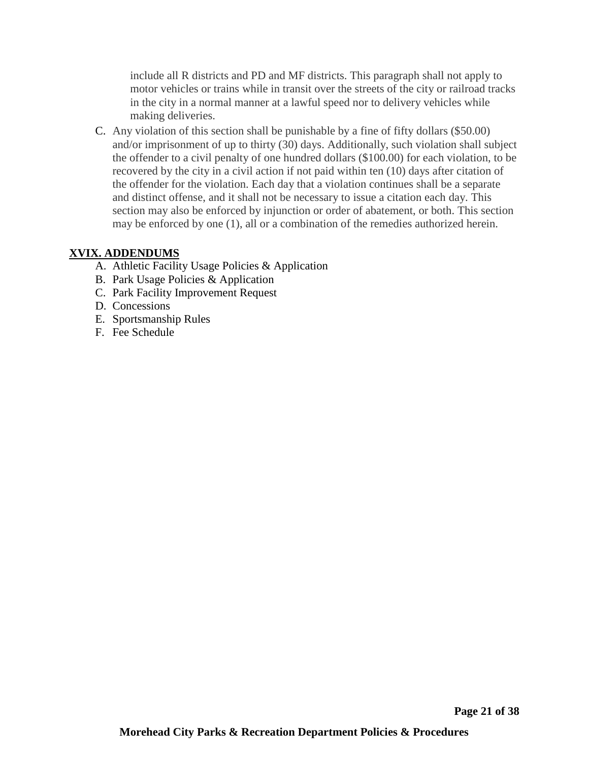include all R districts and PD and MF districts. This paragraph shall not apply to motor vehicles or trains while in transit over the streets of the city or railroad tracks in the city in a normal manner at a lawful speed nor to delivery vehicles while making deliveries.

C. Any violation of this section shall be punishable by a fine of fifty dollars (\$50.00) and/or imprisonment of up to thirty (30) days. Additionally, such violation shall subject the offender to a civil penalty of one hundred dollars (\$100.00) for each violation, to be recovered by the city in a civil action if not paid within ten (10) days after citation of the offender for the violation. Each day that a violation continues shall be a separate and distinct offense, and it shall not be necessary to issue a citation each day. This section may also be enforced by injunction or order of abatement, or both. This section may be enforced by one (1), all or a combination of the remedies authorized herein.

# **XVIX. ADDENDUMS**

- A. Athletic Facility Usage Policies & Application
- B. Park Usage Policies & Application
- C. Park Facility Improvement Request
- D. Concessions
- E. Sportsmanship Rules
- F. Fee Schedule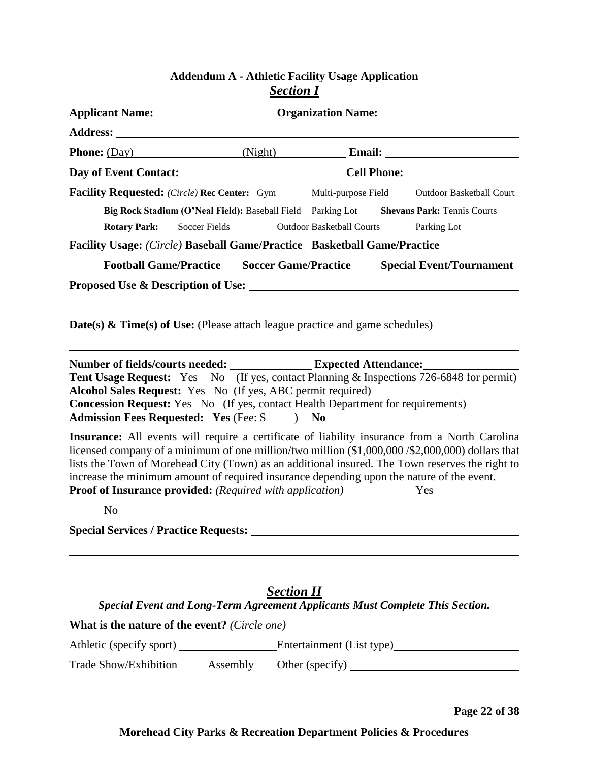# **Addendum A - Athletic Facility Usage Application** *Section I*

|                                                                                                                                                                                                                                                                                                                                                                                                                                                                                        | Applicant Name: _________________________Organization Name: _____________________ |                                                         |                                                |  |  |
|----------------------------------------------------------------------------------------------------------------------------------------------------------------------------------------------------------------------------------------------------------------------------------------------------------------------------------------------------------------------------------------------------------------------------------------------------------------------------------------|-----------------------------------------------------------------------------------|---------------------------------------------------------|------------------------------------------------|--|--|
|                                                                                                                                                                                                                                                                                                                                                                                                                                                                                        |                                                                                   |                                                         |                                                |  |  |
|                                                                                                                                                                                                                                                                                                                                                                                                                                                                                        |                                                                                   |                                                         |                                                |  |  |
|                                                                                                                                                                                                                                                                                                                                                                                                                                                                                        |                                                                                   |                                                         |                                                |  |  |
| <b>Facility Requested:</b> (Circle) Rec Center: Gym<br>Big Rock Stadium (O'Neal Field): Baseball Field Parking Lot Shevans Park: Tennis Courts<br><b>Soccer Fields</b><br><b>Rotary Park:</b><br>Facility Usage: (Circle) Baseball Game/Practice Basketball Game/Practice                                                                                                                                                                                                              |                                                                                   | Multi-purpose Field<br><b>Outdoor Basketball Courts</b> | <b>Outdoor Basketball Court</b><br>Parking Lot |  |  |
| <b>Football Game/Practice</b>                                                                                                                                                                                                                                                                                                                                                                                                                                                          |                                                                                   | <b>Soccer Game/Practice</b>                             | <b>Special Event/Tournament</b>                |  |  |
|                                                                                                                                                                                                                                                                                                                                                                                                                                                                                        |                                                                                   |                                                         |                                                |  |  |
| Tent Usage Request: Yes No (If yes, contact Planning & Inspections 726-6848 for permit)<br>Alcohol Sales Request: Yes No (If yes, ABC permit required)<br>Concession Request: Yes No (If yes, contact Health Department for requirements)<br>Admission Fees Requested: Yes (Fee: \$ ) No                                                                                                                                                                                               |                                                                                   |                                                         |                                                |  |  |
| Insurance: All events will require a certificate of liability insurance from a North Carolina<br>licensed company of a minimum of one million/two million (\$1,000,000 /\$2,000,000) dollars that<br>lists the Town of Morehead City (Town) as an additional insured. The Town reserves the right to<br>increase the minimum amount of required insurance depending upon the nature of the event.<br><b>Proof of Insurance provided:</b> (Required with application)<br>N <sub>o</sub> |                                                                                   |                                                         | Yes                                            |  |  |
| <b>Special Services / Practice Requests:</b>                                                                                                                                                                                                                                                                                                                                                                                                                                           |                                                                                   |                                                         |                                                |  |  |
| Special Event and Long-Term Agreement Applicants Must Complete This Section.<br>What is the nature of the event? (Circle one)                                                                                                                                                                                                                                                                                                                                                          | <b>Section II</b>                                                                 |                                                         |                                                |  |  |
| Athletic (specify sport) ________________Entertainment (List type)                                                                                                                                                                                                                                                                                                                                                                                                                     |                                                                                   |                                                         |                                                |  |  |

Trade Show/Exhibition Assembly Other (specify) \_\_\_\_\_\_\_\_\_\_\_\_\_\_\_\_\_\_\_\_\_\_\_\_\_\_\_\_\_\_\_\_\_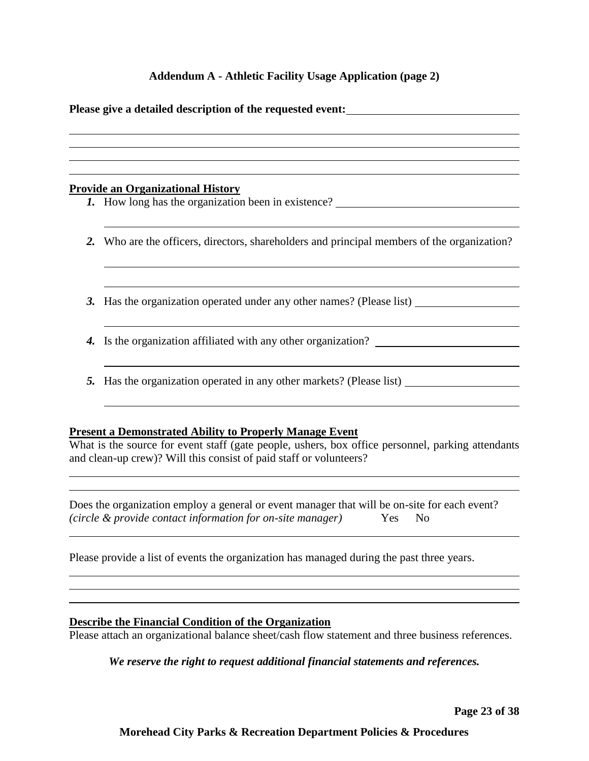#### **Addendum A - Athletic Facility Usage Application (page 2)**

|    | Please give a detailed description of the requested event:                                                                                                                                                                                |
|----|-------------------------------------------------------------------------------------------------------------------------------------------------------------------------------------------------------------------------------------------|
|    |                                                                                                                                                                                                                                           |
|    |                                                                                                                                                                                                                                           |
|    | <b>Provide an Organizational History</b>                                                                                                                                                                                                  |
|    | 1. How long has the organization been in existence?                                                                                                                                                                                       |
|    | 2. Who are the officers, directors, shareholders and principal members of the organization?                                                                                                                                               |
| 3. | Has the organization operated under any other names? (Please list)                                                                                                                                                                        |
| 4. | Is the organization affiliated with any other organization?                                                                                                                                                                               |
|    | 5. Has the organization operated in any other markets? (Please list)                                                                                                                                                                      |
|    | <b>Present a Demonstrated Ability to Properly Manage Event</b><br>What is the source for event staff (gate people, ushers, box office personnel, parking attendants<br>and clean-up crew)? Will this consist of paid staff or volunteers? |
|    | Does the organization employ a general or event manager that will be on-site for each event?<br>(circle & provide contact information for on-site manager)<br>Yes<br>N <sub>0</sub>                                                       |
|    | Please provide a list of events the organization has managed during the past three years.                                                                                                                                                 |

#### **Describe the Financial Condition of the Organization**

Please attach an organizational balance sheet/cash flow statement and three business references.

*We reserve the right to request additional financial statements and references.*

**Page 23 of 38**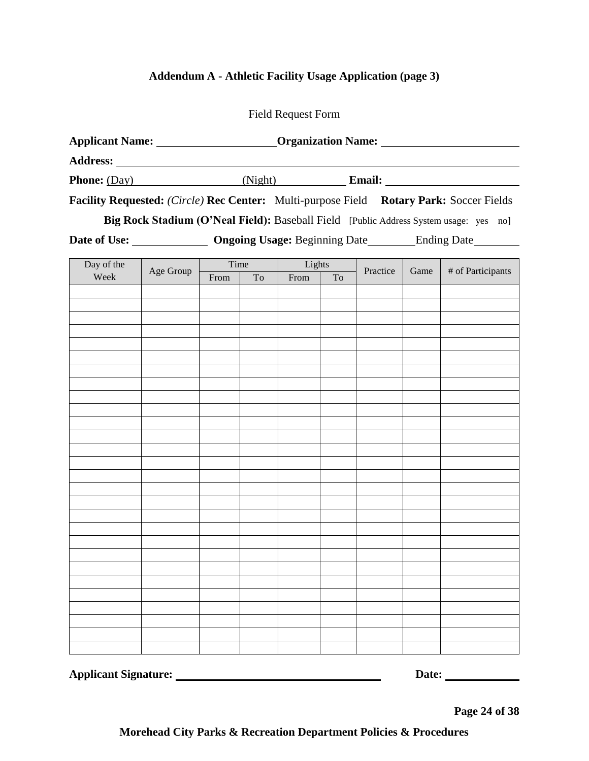# **Addendum A - Athletic Facility Usage Application (page 3)**

| Applicant Name: _______________________Organization Name: _______________________ |           |      |      |        |    |          |      |                                                                                         |
|-----------------------------------------------------------------------------------|-----------|------|------|--------|----|----------|------|-----------------------------------------------------------------------------------------|
|                                                                                   |           |      |      |        |    |          |      |                                                                                         |
|                                                                                   |           |      |      |        |    |          |      |                                                                                         |
|                                                                                   |           |      |      |        |    |          |      | Facility Requested: (Circle) Rec Center: Multi-purpose Field Rotary Park: Soccer Fields |
|                                                                                   |           |      |      |        |    |          |      | Big Rock Stadium (O'Neal Field): Baseball Field [Public Address System usage: yes no]   |
|                                                                                   |           |      |      |        |    |          |      | Date of Use: _______________ Ongoing Usage: Beginning Date ________ Ending Date _______ |
| Day of the                                                                        |           |      | Time | Lights |    |          |      |                                                                                         |
| Week                                                                              | Age Group | From | To   | From   | To | Practice | Game | # of Participants                                                                       |
|                                                                                   |           |      |      |        |    |          |      |                                                                                         |
|                                                                                   |           |      |      |        |    |          |      |                                                                                         |
|                                                                                   |           |      |      |        |    |          |      |                                                                                         |
|                                                                                   |           |      |      |        |    |          |      |                                                                                         |
|                                                                                   |           |      |      |        |    |          |      |                                                                                         |
|                                                                                   |           |      |      |        |    |          |      |                                                                                         |
|                                                                                   |           |      |      |        |    |          |      |                                                                                         |
|                                                                                   |           |      |      |        |    |          |      |                                                                                         |
|                                                                                   |           |      |      |        |    |          |      |                                                                                         |
|                                                                                   |           |      |      |        |    |          |      |                                                                                         |
|                                                                                   |           |      |      |        |    |          |      |                                                                                         |
|                                                                                   |           |      |      |        |    |          |      |                                                                                         |
|                                                                                   |           |      |      |        |    |          |      |                                                                                         |
|                                                                                   |           |      |      |        |    |          |      |                                                                                         |
|                                                                                   |           |      |      |        |    |          |      |                                                                                         |
|                                                                                   |           |      |      |        |    |          |      |                                                                                         |
|                                                                                   |           |      |      |        |    |          |      |                                                                                         |
|                                                                                   |           |      |      |        |    |          |      |                                                                                         |
|                                                                                   |           |      |      |        |    |          |      |                                                                                         |
|                                                                                   |           |      |      |        |    |          |      |                                                                                         |
|                                                                                   |           |      |      |        |    |          |      |                                                                                         |
|                                                                                   |           |      |      |        |    |          |      |                                                                                         |
|                                                                                   |           |      |      |        |    |          |      |                                                                                         |
|                                                                                   |           |      |      |        |    |          |      |                                                                                         |

**Applicant Signature:** <u>Date:</u> Date: <u>Date:</u> Date: 2014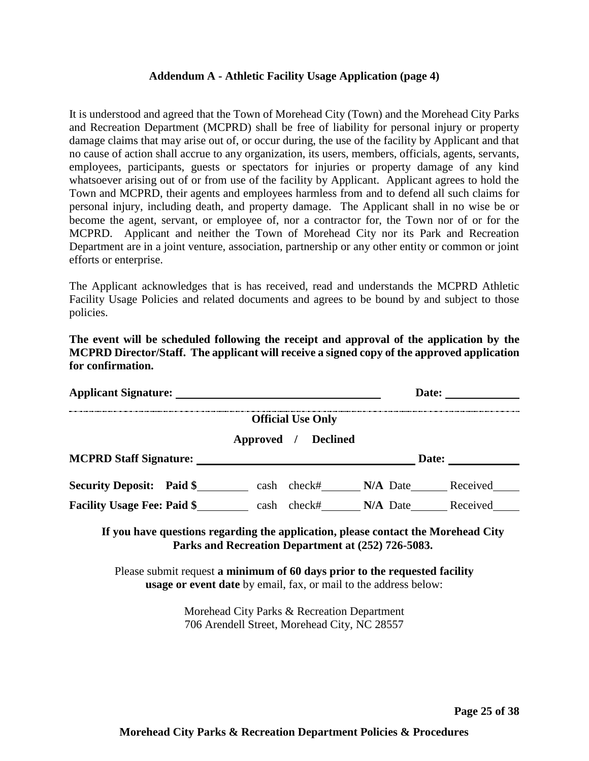#### **Addendum A - Athletic Facility Usage Application (page 4)**

It is understood and agreed that the Town of Morehead City (Town) and the Morehead City Parks and Recreation Department (MCPRD) shall be free of liability for personal injury or property damage claims that may arise out of, or occur during, the use of the facility by Applicant and that no cause of action shall accrue to any organization, its users, members, officials, agents, servants, employees, participants, guests or spectators for injuries or property damage of any kind whatsoever arising out of or from use of the facility by Applicant. Applicant agrees to hold the Town and MCPRD, their agents and employees harmless from and to defend all such claims for personal injury, including death, and property damage. The Applicant shall in no wise be or become the agent, servant, or employee of, nor a contractor for, the Town nor of or for the MCPRD. Applicant and neither the Town of Morehead City nor its Park and Recreation Department are in a joint venture, association, partnership or any other entity or common or joint efforts or enterprise.

The Applicant acknowledges that is has received, read and understands the MCPRD Athletic Facility Usage Policies and related documents and agrees to be bound by and subject to those policies.

**The event will be scheduled following the receipt and approval of the application by the MCPRD Director/Staff. The applicant will receive a signed copy of the approved application for confirmation.**

| <b>Applicant Signature:</b>        |            |                                             | Date:      |          |
|------------------------------------|------------|---------------------------------------------|------------|----------|
|                                    | Approved / | <b>Official Use Only</b><br><b>Declined</b> |            |          |
| <b>MCPRD Staff Signature:</b>      |            |                                             | Date:      |          |
| <b>Security Deposit: Paid \$</b>   | cash       | check#                                      | $N/A$ Date | Received |
| <b>Facility Usage Fee: Paid \$</b> | cash       | check#                                      | N/A Date   | Received |

**If you have questions regarding the application, please contact the Morehead City Parks and Recreation Department at (252) 726-5083.**

Please submit request **a minimum of 60 days prior to the requested facility usage or event date** by email, fax, or mail to the address below:

> Morehead City Parks & Recreation Department 706 Arendell Street, Morehead City, NC 28557

> > **Page 25 of 38**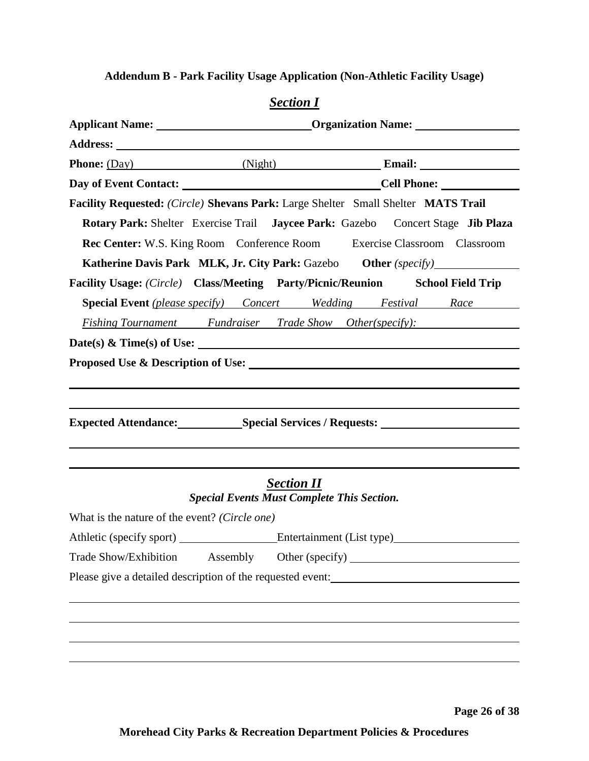# **Addendum B - Park Facility Usage Application (Non-Athletic Facility Usage)**

| Facility Requested: (Circle) Shevans Park: Large Shelter Small Shelter MATS Trail                                   |                                                                                 |                           |  |
|---------------------------------------------------------------------------------------------------------------------|---------------------------------------------------------------------------------|---------------------------|--|
|                                                                                                                     | Rotary Park: Shelter Exercise Trail Jaycee Park: Gazebo Concert Stage Jib Plaza |                           |  |
|                                                                                                                     | Rec Center: W.S. King Room Conference Room Exercise Classroom Classroom         |                           |  |
|                                                                                                                     | Katherine Davis Park MLK, Jr. City Park: Gazebo Other (specify)                 |                           |  |
| Facility Usage: (Circle) Class/Meeting Party/Picnic/Reunion School Field Trip                                       |                                                                                 |                           |  |
|                                                                                                                     | <b>Special Event</b> (please specify) Concert Wedding Festival Race             |                           |  |
|                                                                                                                     | <i>Fishing Tournament</i> Fundraiser Trade Show Other(specify):                 |                           |  |
| Date(s) & Time(s) of Use: $\_\_$                                                                                    |                                                                                 |                           |  |
|                                                                                                                     |                                                                                 |                           |  |
| Expected Attendance: Special Services / Requests: ______________________________                                    |                                                                                 |                           |  |
|                                                                                                                     | <b>Section II</b><br><b>Special Events Must Complete This Section.</b>          |                           |  |
| What is the nature of the event? (Circle one)                                                                       |                                                                                 |                           |  |
| Athletic (specify sport)                                                                                            |                                                                                 | Entertainment (List type) |  |
| Trade Show/Exhibition                                                                                               | Assembly                                                                        |                           |  |
| Please give a detailed description of the requested event:<br><u>manufactor</u> and the set of the requested event: |                                                                                 |                           |  |
|                                                                                                                     |                                                                                 |                           |  |
|                                                                                                                     |                                                                                 |                           |  |
|                                                                                                                     |                                                                                 |                           |  |
|                                                                                                                     |                                                                                 |                           |  |
|                                                                                                                     |                                                                                 |                           |  |

# *Section I*

**Page 26 of 38**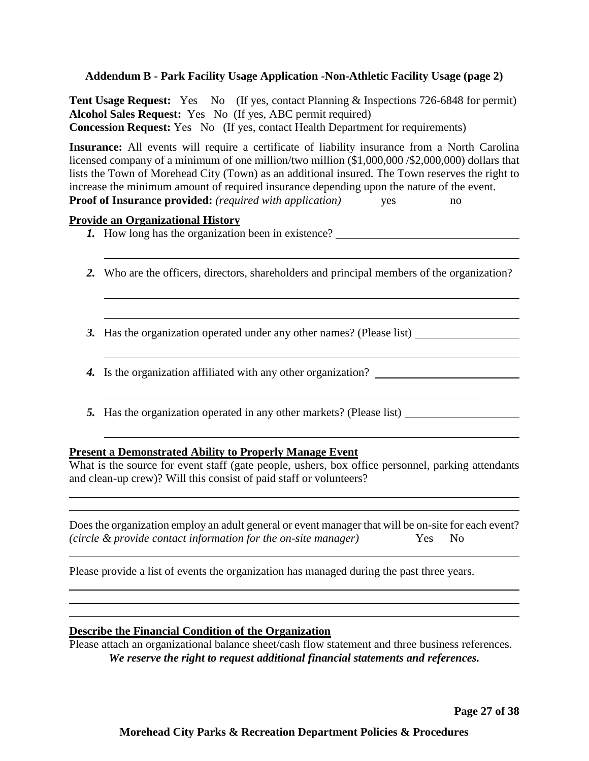#### **Addendum B - Park Facility Usage Application -Non-Athletic Facility Usage (page 2)**

**Tent Usage Request:** Yes No (If yes, contact Planning & Inspections 726-6848 for permit) **Alcohol Sales Request:** Yes No (If yes, ABC permit required) **Concession Request:** Yes No (If yes, contact Health Department for requirements)

**Insurance:** All events will require a certificate of liability insurance from a North Carolina licensed company of a minimum of one million/two million (\$1,000,000 /\$2,000,000) dollars that lists the Town of Morehead City (Town) as an additional insured. The Town reserves the right to increase the minimum amount of required insurance depending upon the nature of the event. **Proof of Insurance provided:** *(required with application)* yes no

#### **Provide an Organizational History**

- *1.* How long has the organization been in existence?
- *2.* Who are the officers, directors, shareholders and principal members of the organization?
- *3.* Has the organization operated under any other names? (Please list)
- *4.* Is the organization affiliated with any other organization?
- *5.* Has the organization operated in any other markets? (Please list)

#### **Present a Demonstrated Ability to Properly Manage Event**

What is the source for event staff (gate people, ushers, box office personnel, parking attendants and clean-up crew)? Will this consist of paid staff or volunteers?

| Does the organization employ an adult general or event manager that will be on-site for each event? |        |  |
|-----------------------------------------------------------------------------------------------------|--------|--|
| (circle & provide contact information for the on-site manager)                                      | Yes No |  |

Please provide a list of events the organization has managed during the past three years.

#### **Describe the Financial Condition of the Organization**

Please attach an organizational balance sheet/cash flow statement and three business references. *We reserve the right to request additional financial statements and references.*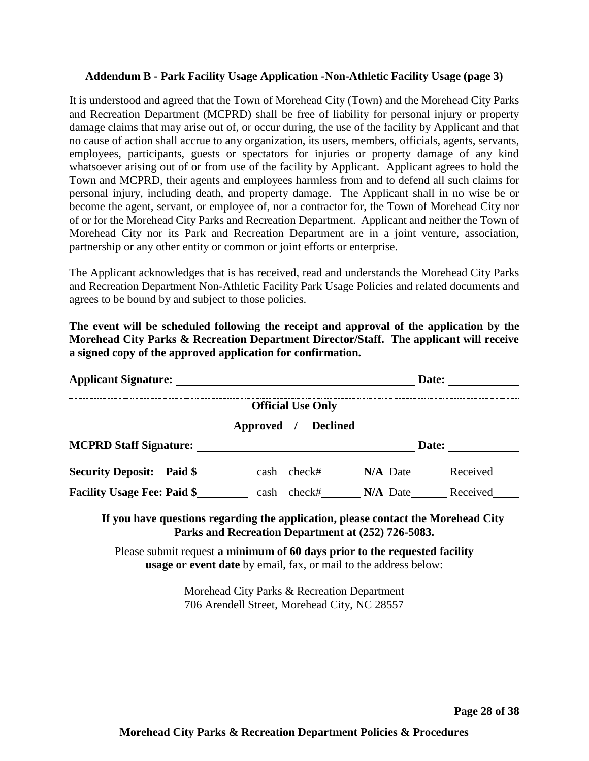#### **Addendum B - Park Facility Usage Application -Non-Athletic Facility Usage (page 3)**

It is understood and agreed that the Town of Morehead City (Town) and the Morehead City Parks and Recreation Department (MCPRD) shall be free of liability for personal injury or property damage claims that may arise out of, or occur during, the use of the facility by Applicant and that no cause of action shall accrue to any organization, its users, members, officials, agents, servants, employees, participants, guests or spectators for injuries or property damage of any kind whatsoever arising out of or from use of the facility by Applicant. Applicant agrees to hold the Town and MCPRD, their agents and employees harmless from and to defend all such claims for personal injury, including death, and property damage. The Applicant shall in no wise be or become the agent, servant, or employee of, nor a contractor for, the Town of Morehead City nor of or for the Morehead City Parks and Recreation Department. Applicant and neither the Town of Morehead City nor its Park and Recreation Department are in a joint venture, association, partnership or any other entity or common or joint efforts or enterprise.

The Applicant acknowledges that is has received, read and understands the Morehead City Parks and Recreation Department Non-Athletic Facility Park Usage Policies and related documents and agrees to be bound by and subject to those policies.

**The event will be scheduled following the receipt and approval of the application by the Morehead City Parks & Recreation Department Director/Staff. The applicant will receive a signed copy of the approved application for confirmation.**

|                                                                                                                                                       |                          | <b>Date:</b> |  |
|-------------------------------------------------------------------------------------------------------------------------------------------------------|--------------------------|--------------|--|
|                                                                                                                                                       | <b>Official Use Only</b> |              |  |
|                                                                                                                                                       | Approved / Declined      |              |  |
|                                                                                                                                                       |                          |              |  |
| Security Deposit: Paid \$ _________ cash check# _______ N/A Date _______ Received                                                                     |                          |              |  |
| Facility Usage Fee: Paid \$ cash check# N/A Date Received                                                                                             |                          |              |  |
| If you have questions regarding the application, please contact the Morehead City<br>Parks and Recreation Department at (252) 726-5083.               |                          |              |  |
| Please submit request a minimum of 60 days prior to the requested facility<br><b>usage or event date</b> by email, fax, or mail to the address below: |                          |              |  |
| Morehead City Parks & Recreation Department<br>706 Arendell Street, Morehead City, NC 28557                                                           |                          |              |  |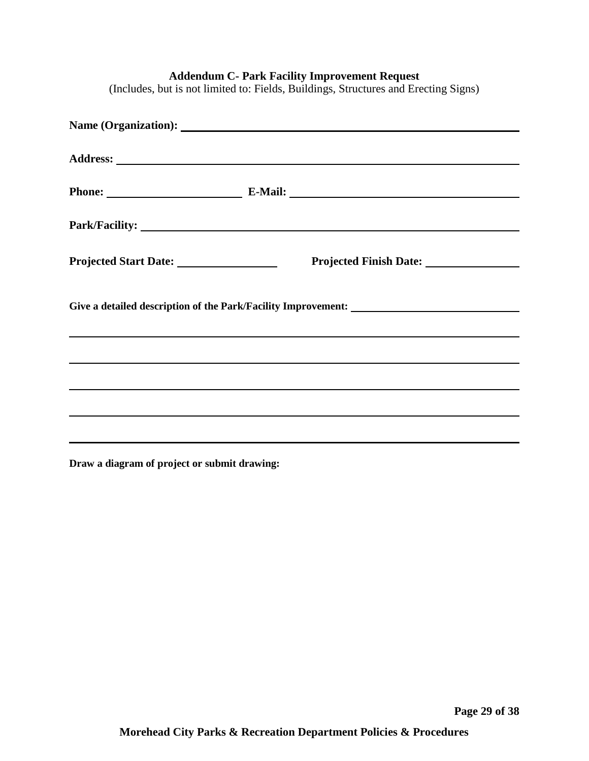|                                                                                                                                                                                                                                                | Phone: E-Mail: E-Mail: |
|------------------------------------------------------------------------------------------------------------------------------------------------------------------------------------------------------------------------------------------------|------------------------|
|                                                                                                                                                                                                                                                |                        |
|                                                                                                                                                                                                                                                |                        |
|                                                                                                                                                                                                                                                |                        |
| <u> 1999 - Jan Barat, mars et al. 1999 - Anna anno 1992. I anno 1992 - Anna anno 1992. I ann an t-Anna ann an t-A</u><br><u> 1989 - Johann Stoff, deutscher Stoff, der Stoff, der Stoff, der Stoff, der Stoff, der Stoff, der Stoff, der S</u> |                        |
| <u> 1989 - Jan Samuel Barbara, margaret a shekara ta 1989 - An tsara tsa na shekara tsa na shekara tsa na shekara</u>                                                                                                                          |                        |
|                                                                                                                                                                                                                                                |                        |
|                                                                                                                                                                                                                                                |                        |

**Addendum C- Park Facility Improvement Request**

(Includes, but is not limited to: Fields, Buildings, Structures and Erecting Signs)

**Draw a diagram of project or submit drawing:**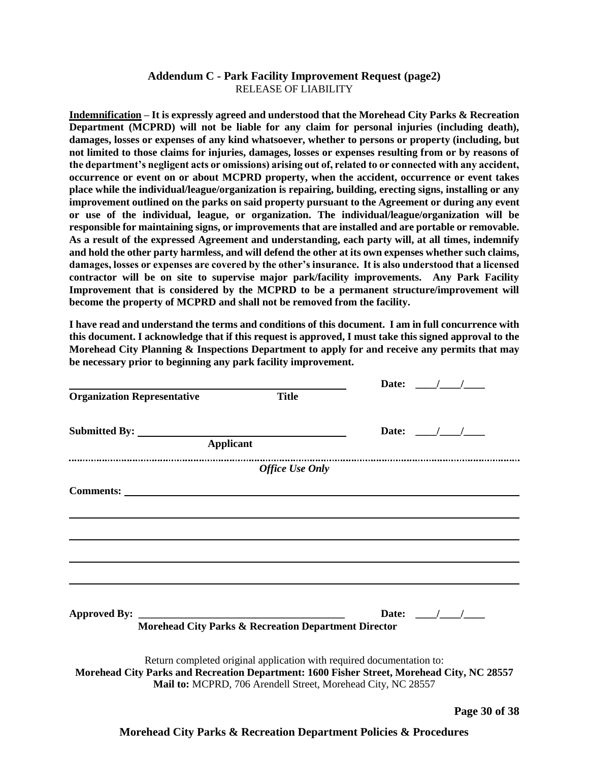#### **Addendum C - Park Facility Improvement Request (page2)** RELEASE OF LIABILITY

**Indemnification – It is expressly agreed and understood that the Morehead City Parks & Recreation Department (MCPRD) will not be liable for any claim for personal injuries (including death), damages, losses or expenses of any kind whatsoever, whether to persons or property (including, but not limited to those claims for injuries, damages, losses or expenses resulting from or by reasons of the department's negligent acts or omissions) arising out of, related to or connected with any accident, occurrence or event on or about MCPRD property, when the accident, occurrence or event takes place while the individual/league/organization is repairing, building, erecting signs, installing or any improvement outlined on the parks on said property pursuant to the Agreement or during any event or use of the individual, league, or organization. The individual/league/organization will be responsible for maintaining signs, or improvements that are installed and are portable or removable. As a result of the expressed Agreement and understanding, each party will, at all times, indemnify and hold the other party harmless, and will defend the other at its own expenses whether such claims, damages, losses or expenses are covered by the other's insurance. It is also understood that a licensed contractor will be on site to supervise major park/facility improvements. Any Park Facility Improvement that is considered by the MCPRD to be a permanent structure/improvement will become the property of MCPRD and shall not be removed from the facility.** 

**I have read and understand the terms and conditions of this document. I am in full concurrence with this document. I acknowledge that if this request is approved, I must take this signed approval to the Morehead City Planning & Inspections Department to apply for and receive any permits that may be necessary prior to beginning any park facility improvement.**

|                                    |                                                                                                                                                                                                                                     | Date: $/$ /                                               |  |
|------------------------------------|-------------------------------------------------------------------------------------------------------------------------------------------------------------------------------------------------------------------------------------|-----------------------------------------------------------|--|
| <b>Organization Representative</b> | <b>Title</b>                                                                                                                                                                                                                        |                                                           |  |
|                                    |                                                                                                                                                                                                                                     | Date: $\frac{1}{\sqrt{1-\frac{1}{2}}}$                    |  |
|                                    |                                                                                                                                                                                                                                     |                                                           |  |
|                                    | <b>Office Use Only</b>                                                                                                                                                                                                              |                                                           |  |
|                                    |                                                                                                                                                                                                                                     |                                                           |  |
|                                    |                                                                                                                                                                                                                                     |                                                           |  |
|                                    |                                                                                                                                                                                                                                     |                                                           |  |
|                                    |                                                                                                                                                                                                                                     |                                                           |  |
|                                    |                                                                                                                                                                                                                                     |                                                           |  |
|                                    |                                                                                                                                                                                                                                     |                                                           |  |
|                                    |                                                                                                                                                                                                                                     | Date: $\frac{\sqrt{1-\frac{1}{2}}}{\sqrt{1-\frac{1}{2}}}$ |  |
|                                    | Morehead City Parks & Recreation Department Director                                                                                                                                                                                |                                                           |  |
|                                    | Return completed original application with required documentation to:<br>Morehead City Parks and Recreation Department: 1600 Fisher Street, Morehead City, NC 28557<br>Mail to: MCPRD, 706 Arendell Street, Morehead City, NC 28557 |                                                           |  |
|                                    |                                                                                                                                                                                                                                     |                                                           |  |

**Page 30 of 38**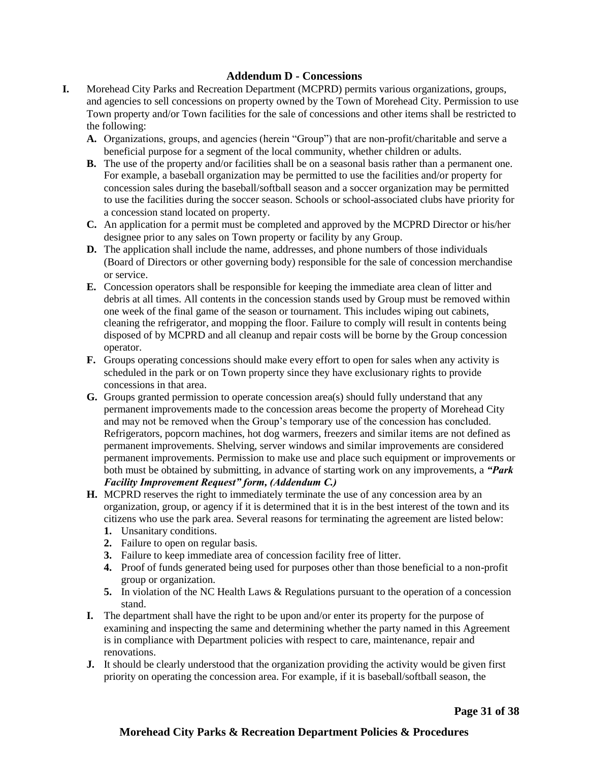#### **Addendum D - Concessions**

- **I.** Morehead City Parks and Recreation Department (MCPRD) permits various organizations, groups, and agencies to sell concessions on property owned by the Town of Morehead City. Permission to use Town property and/or Town facilities for the sale of concessions and other items shall be restricted to the following:
	- **A.** Organizations, groups, and agencies (herein "Group") that are non-profit/charitable and serve a beneficial purpose for a segment of the local community, whether children or adults.
	- **B.** The use of the property and/or facilities shall be on a seasonal basis rather than a permanent one. For example, a baseball organization may be permitted to use the facilities and/or property for concession sales during the baseball/softball season and a soccer organization may be permitted to use the facilities during the soccer season. Schools or school-associated clubs have priority for a concession stand located on property.
	- **C.** An application for a permit must be completed and approved by the MCPRD Director or his/her designee prior to any sales on Town property or facility by any Group.
	- **D.** The application shall include the name, addresses, and phone numbers of those individuals (Board of Directors or other governing body) responsible for the sale of concession merchandise or service.
	- **E.** Concession operators shall be responsible for keeping the immediate area clean of litter and debris at all times. All contents in the concession stands used by Group must be removed within one week of the final game of the season or tournament. This includes wiping out cabinets, cleaning the refrigerator, and mopping the floor. Failure to comply will result in contents being disposed of by MCPRD and all cleanup and repair costs will be borne by the Group concession operator.
	- **F.** Groups operating concessions should make every effort to open for sales when any activity is scheduled in the park or on Town property since they have exclusionary rights to provide concessions in that area.
	- **G.** Groups granted permission to operate concession area(s) should fully understand that any permanent improvements made to the concession areas become the property of Morehead City and may not be removed when the Group's temporary use of the concession has concluded. Refrigerators, popcorn machines, hot dog warmers, freezers and similar items are not defined as permanent improvements. Shelving, server windows and similar improvements are considered permanent improvements. Permission to make use and place such equipment or improvements or both must be obtained by submitting, in advance of starting work on any improvements, a *"Park Facility Improvement Request" form, (Addendum C.)*
	- **H.** MCPRD reserves the right to immediately terminate the use of any concession area by an organization, group, or agency if it is determined that it is in the best interest of the town and its citizens who use the park area. Several reasons for terminating the agreement are listed below:
		- **1.** Unsanitary conditions.
		- **2.** Failure to open on regular basis.
		- **3.** Failure to keep immediate area of concession facility free of litter.
		- **4.** Proof of funds generated being used for purposes other than those beneficial to a non-profit group or organization.
		- **5.** In violation of the NC Health Laws & Regulations pursuant to the operation of a concession stand.
	- **I.** The department shall have the right to be upon and/or enter its property for the purpose of examining and inspecting the same and determining whether the party named in this Agreement is in compliance with Department policies with respect to care, maintenance, repair and renovations.
	- **J.** It should be clearly understood that the organization providing the activity would be given first priority on operating the concession area. For example, if it is baseball/softball season, the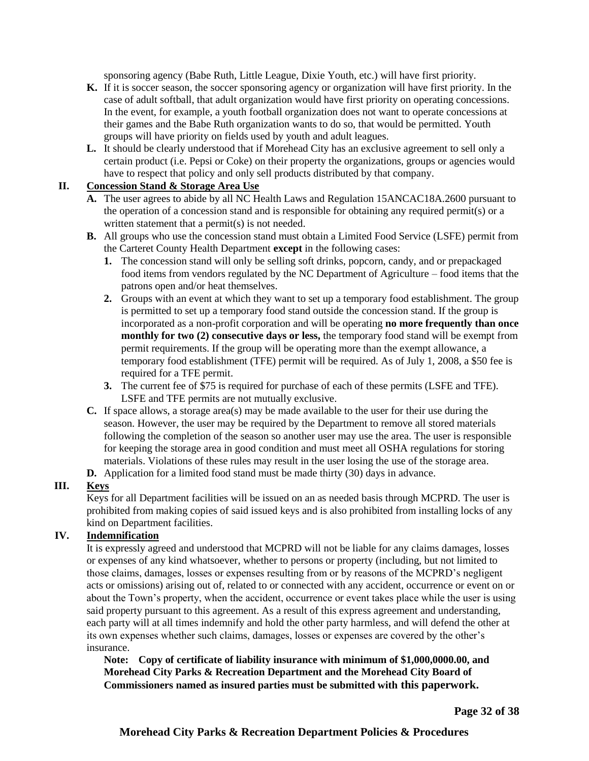sponsoring agency (Babe Ruth, Little League, Dixie Youth, etc.) will have first priority.

- **K.** If it is soccer season, the soccer sponsoring agency or organization will have first priority. In the case of adult softball, that adult organization would have first priority on operating concessions. In the event, for example, a youth football organization does not want to operate concessions at their games and the Babe Ruth organization wants to do so, that would be permitted. Youth groups will have priority on fields used by youth and adult leagues.
- **L.** It should be clearly understood that if Morehead City has an exclusive agreement to sell only a certain product (i.e. Pepsi or Coke) on their property the organizations, groups or agencies would have to respect that policy and only sell products distributed by that company.

#### **II. Concession Stand & Storage Area Use**

- **A.** The user agrees to abide by all NC Health Laws and Regulation 15ANCAC18A.2600 pursuant to the operation of a concession stand and is responsible for obtaining any required permit(s) or a written statement that a permit(s) is not needed.
- **B.** All groups who use the concession stand must obtain a Limited Food Service (LSFE) permit from the Carteret County Health Department **except** in the following cases:
	- **1.** The concession stand will only be selling soft drinks, popcorn, candy, and or prepackaged food items from vendors regulated by the NC Department of Agriculture – food items that the patrons open and/or heat themselves.
	- **2.** Groups with an event at which they want to set up a temporary food establishment. The group is permitted to set up a temporary food stand outside the concession stand. If the group is incorporated as a non-profit corporation and will be operating **no more frequently than once monthly for two (2) consecutive days or less,** the temporary food stand will be exempt from permit requirements. If the group will be operating more than the exempt allowance, a temporary food establishment (TFE) permit will be required. As of July 1, 2008, a \$50 fee is required for a TFE permit.
	- **3.** The current fee of \$75 is required for purchase of each of these permits (LSFE and TFE). LSFE and TFE permits are not mutually exclusive.
- **C.** If space allows, a storage area(s) may be made available to the user for their use during the season. However, the user may be required by the Department to remove all stored materials following the completion of the season so another user may use the area. The user is responsible for keeping the storage area in good condition and must meet all OSHA regulations for storing materials. Violations of these rules may result in the user losing the use of the storage area.
- **D.** Application for a limited food stand must be made thirty (30) days in advance.

#### **III. Keys**

Keys for all Department facilities will be issued on an as needed basis through MCPRD. The user is prohibited from making copies of said issued keys and is also prohibited from installing locks of any kind on Department facilities.

#### **IV. Indemnification**

It is expressly agreed and understood that MCPRD will not be liable for any claims damages, losses or expenses of any kind whatsoever, whether to persons or property (including, but not limited to those claims, damages, losses or expenses resulting from or by reasons of the MCPRD's negligent acts or omissions) arising out of, related to or connected with any accident, occurrence or event on or about the Town's property, when the accident, occurrence or event takes place while the user is using said property pursuant to this agreement. As a result of this express agreement and understanding, each party will at all times indemnify and hold the other party harmless, and will defend the other at its own expenses whether such claims, damages, losses or expenses are covered by the other's insurance.

**Note: Copy of certificate of liability insurance with minimum of \$1,000,0000.00, and Morehead City Parks & Recreation Department and the Morehead City Board of Commissioners named as insured parties must be submitted with this paperwork.**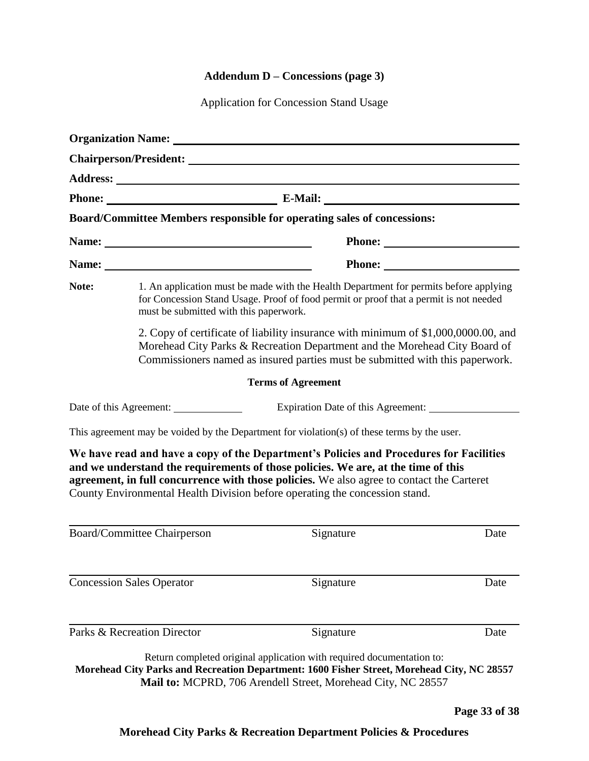# **Addendum D – Concessions (page 3)**

Application for Concession Stand Usage

|       |                                                                                                                                                                                                                          | <b>Organization Name:</b> The Contract of the Contract of the Contract of the Contract of the Contract of the Contract of the Contract of the Contract of the Contract of the Contract of the Contract of the Contract of the Contr                                                                                                                      |      |
|-------|--------------------------------------------------------------------------------------------------------------------------------------------------------------------------------------------------------------------------|----------------------------------------------------------------------------------------------------------------------------------------------------------------------------------------------------------------------------------------------------------------------------------------------------------------------------------------------------------|------|
|       |                                                                                                                                                                                                                          | Chairperson/President:                                                                                                                                                                                                                                                                                                                                   |      |
|       |                                                                                                                                                                                                                          |                                                                                                                                                                                                                                                                                                                                                          |      |
|       |                                                                                                                                                                                                                          | Phone: E-Mail: E-Mail:                                                                                                                                                                                                                                                                                                                                   |      |
|       |                                                                                                                                                                                                                          | Board/Committee Members responsible for operating sales of concessions:                                                                                                                                                                                                                                                                                  |      |
|       |                                                                                                                                                                                                                          |                                                                                                                                                                                                                                                                                                                                                          |      |
|       |                                                                                                                                                                                                                          | Phone:                                                                                                                                                                                                                                                                                                                                                   |      |
| Note: | 1. An application must be made with the Health Department for permits before applying<br>for Concession Stand Usage. Proof of food permit or proof that a permit is not needed<br>must be submitted with this paperwork. |                                                                                                                                                                                                                                                                                                                                                          |      |
|       |                                                                                                                                                                                                                          | 2. Copy of certificate of liability insurance with minimum of \$1,000,0000.00, and<br>Morehead City Parks & Recreation Department and the Morehead City Board of<br>Commissioners named as insured parties must be submitted with this paperwork.                                                                                                        |      |
|       |                                                                                                                                                                                                                          | <b>Terms of Agreement</b>                                                                                                                                                                                                                                                                                                                                |      |
|       |                                                                                                                                                                                                                          | Expiration Date of this Agreement:                                                                                                                                                                                                                                                                                                                       |      |
|       |                                                                                                                                                                                                                          | This agreement may be voided by the Department for violation(s) of these terms by the user.                                                                                                                                                                                                                                                              |      |
|       |                                                                                                                                                                                                                          | We have read and have a copy of the Department's Policies and Procedures for Facilities<br>and we understand the requirements of those policies. We are, at the time of this<br>agreement, in full concurrence with those policies. We also agree to contact the Carteret<br>County Environmental Health Division before operating the concession stand. |      |
|       | Board/Committee Chairperson                                                                                                                                                                                              | Signature                                                                                                                                                                                                                                                                                                                                                | Date |
|       | <b>Concession Sales Operator</b>                                                                                                                                                                                         | Signature                                                                                                                                                                                                                                                                                                                                                | Date |
|       | Parks & Recreation Director                                                                                                                                                                                              | Signature                                                                                                                                                                                                                                                                                                                                                | Date |
|       |                                                                                                                                                                                                                          | Return completed original application with required documentation to:<br>Morehead City Parks and Recreation Department: 1600 Fisher Street, Morehead City, NC 28557<br>Mail to: MCPRD, 706 Arendell Street, Morehead City, NC 28557                                                                                                                      |      |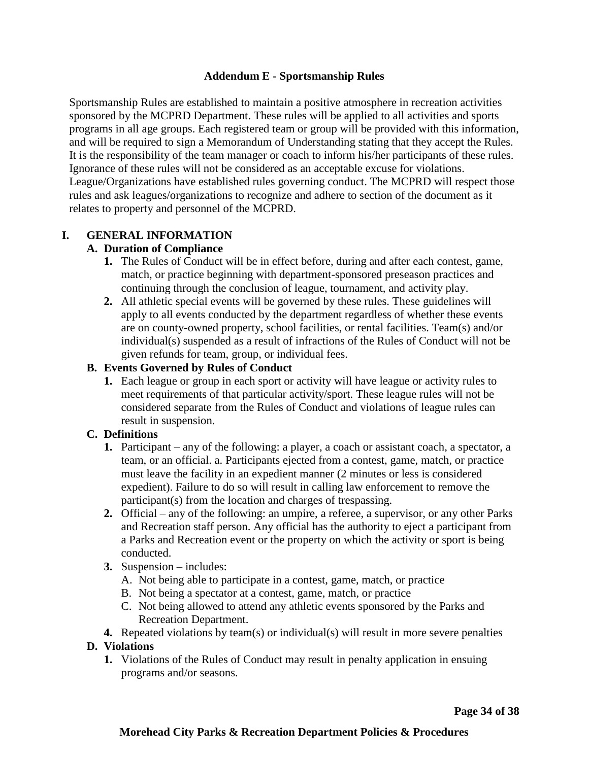#### **Addendum E - Sportsmanship Rules**

Sportsmanship Rules are established to maintain a positive atmosphere in recreation activities sponsored by the MCPRD Department. These rules will be applied to all activities and sports programs in all age groups. Each registered team or group will be provided with this information, and will be required to sign a Memorandum of Understanding stating that they accept the Rules. It is the responsibility of the team manager or coach to inform his/her participants of these rules. Ignorance of these rules will not be considered as an acceptable excuse for violations. League/Organizations have established rules governing conduct. The MCPRD will respect those rules and ask leagues/organizations to recognize and adhere to section of the document as it relates to property and personnel of the MCPRD.

#### **I. GENERAL INFORMATION**

#### **A. Duration of Compliance**

- **1.** The Rules of Conduct will be in effect before, during and after each contest, game, match, or practice beginning with department-sponsored preseason practices and continuing through the conclusion of league, tournament, and activity play.
- **2.** All athletic special events will be governed by these rules. These guidelines will apply to all events conducted by the department regardless of whether these events are on county-owned property, school facilities, or rental facilities. Team(s) and/or individual(s) suspended as a result of infractions of the Rules of Conduct will not be given refunds for team, group, or individual fees.

#### **B. Events Governed by Rules of Conduct**

**1.** Each league or group in each sport or activity will have league or activity rules to meet requirements of that particular activity/sport. These league rules will not be considered separate from the Rules of Conduct and violations of league rules can result in suspension.

#### **C. Definitions**

- **1.** Participant any of the following: a player, a coach or assistant coach, a spectator, a team, or an official. a. Participants ejected from a contest, game, match, or practice must leave the facility in an expedient manner (2 minutes or less is considered expedient). Failure to do so will result in calling law enforcement to remove the participant(s) from the location and charges of trespassing.
- **2.** Official any of the following: an umpire, a referee, a supervisor, or any other Parks and Recreation staff person. Any official has the authority to eject a participant from a Parks and Recreation event or the property on which the activity or sport is being conducted.
- **3.** Suspension includes:
	- A. Not being able to participate in a contest, game, match, or practice
	- B. Not being a spectator at a contest, game, match, or practice
	- C. Not being allowed to attend any athletic events sponsored by the Parks and Recreation Department.
- **4.** Repeated violations by team(s) or individual(s) will result in more severe penalties

#### **D. Violations**

**1.** Violations of the Rules of Conduct may result in penalty application in ensuing programs and/or seasons.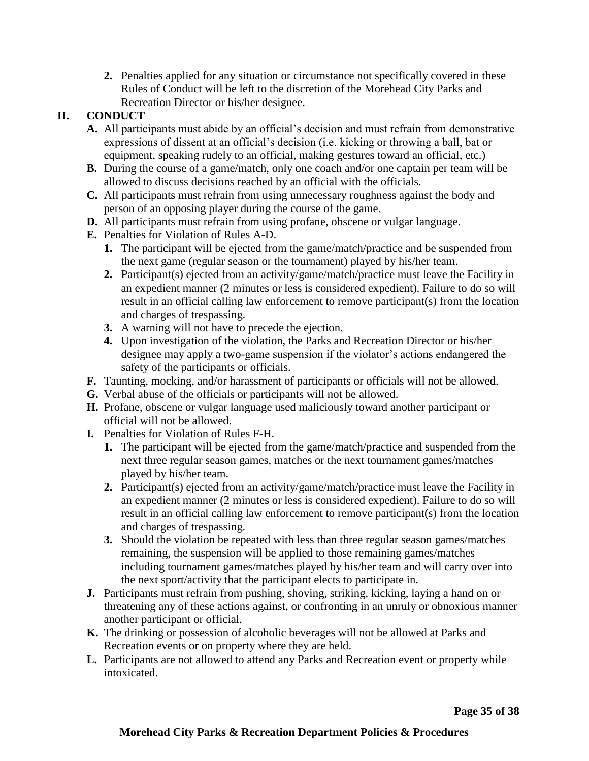**2.** Penalties applied for any situation or circumstance not specifically covered in these Rules of Conduct will be left to the discretion of the Morehead City Parks and Recreation Director or his/her designee.

# **II. CONDUCT**

- **A.** All participants must abide by an official's decision and must refrain from demonstrative expressions of dissent at an official's decision (i.e. kicking or throwing a ball, bat or equipment, speaking rudely to an official, making gestures toward an official, etc.)
- **B.** During the course of a game/match, only one coach and/or one captain per team will be allowed to discuss decisions reached by an official with the officials.
- **C.** All participants must refrain from using unnecessary roughness against the body and person of an opposing player during the course of the game.
- **D.** All participants must refrain from using profane, obscene or vulgar language.
- **E.** Penalties for Violation of Rules A-D.
	- **1.** The participant will be ejected from the game/match/practice and be suspended from the next game (regular season or the tournament) played by his/her team.
	- **2.** Participant(s) ejected from an activity/game/match/practice must leave the Facility in an expedient manner (2 minutes or less is considered expedient). Failure to do so will result in an official calling law enforcement to remove participant(s) from the location and charges of trespassing.
	- **3.** A warning will not have to precede the ejection.
	- **4.** Upon investigation of the violation, the Parks and Recreation Director or his/her designee may apply a two-game suspension if the violator's actions endangered the safety of the participants or officials.
- **F.** Taunting, mocking, and/or harassment of participants or officials will not be allowed.
- **G.** Verbal abuse of the officials or participants will not be allowed.
- **H.** Profane, obscene or vulgar language used maliciously toward another participant or official will not be allowed.
- **I.** Penalties for Violation of Rules F-H.
	- **1.** The participant will be ejected from the game/match/practice and suspended from the next three regular season games, matches or the next tournament games/matches played by his/her team.
	- **2.** Participant(s) ejected from an activity/game/match/practice must leave the Facility in an expedient manner (2 minutes or less is considered expedient). Failure to do so will result in an official calling law enforcement to remove participant(s) from the location and charges of trespassing.
	- **3.** Should the violation be repeated with less than three regular season games/matches remaining, the suspension will be applied to those remaining games/matches including tournament games/matches played by his/her team and will carry over into the next sport/activity that the participant elects to participate in.
- **J.** Participants must refrain from pushing, shoving, striking, kicking, laying a hand on or threatening any of these actions against, or confronting in an unruly or obnoxious manner another participant or official.
- **K.** The drinking or possession of alcoholic beverages will not be allowed at Parks and Recreation events or on property where they are held.
- **L.** Participants are not allowed to attend any Parks and Recreation event or property while intoxicated.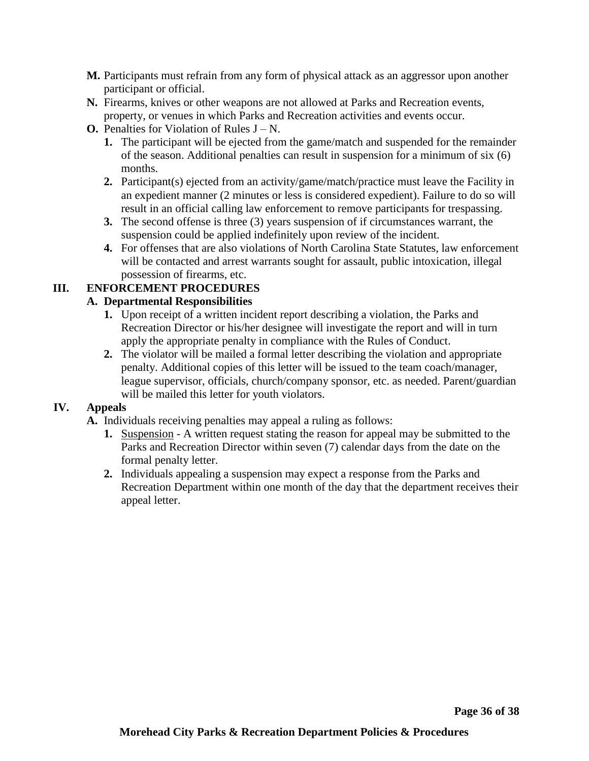- **M.** Participants must refrain from any form of physical attack as an aggressor upon another participant or official.
- **N.** Firearms, knives or other weapons are not allowed at Parks and Recreation events, property, or venues in which Parks and Recreation activities and events occur.
- **O.** Penalties for Violation of Rules  $J N$ .
	- **1.** The participant will be ejected from the game/match and suspended for the remainder of the season. Additional penalties can result in suspension for a minimum of six (6) months.
	- **2.** Participant(s) ejected from an activity/game/match/practice must leave the Facility in an expedient manner (2 minutes or less is considered expedient). Failure to do so will result in an official calling law enforcement to remove participants for trespassing.
	- **3.** The second offense is three (3) years suspension of if circumstances warrant, the suspension could be applied indefinitely upon review of the incident.
	- **4.** For offenses that are also violations of North Carolina State Statutes, law enforcement will be contacted and arrest warrants sought for assault, public intoxication, illegal possession of firearms, etc.

# **III. ENFORCEMENT PROCEDURES**

# **A. Departmental Responsibilities**

- **1.** Upon receipt of a written incident report describing a violation, the Parks and Recreation Director or his/her designee will investigate the report and will in turn apply the appropriate penalty in compliance with the Rules of Conduct.
- **2.** The violator will be mailed a formal letter describing the violation and appropriate penalty. Additional copies of this letter will be issued to the team coach/manager, league supervisor, officials, church/company sponsor, etc. as needed. Parent/guardian will be mailed this letter for youth violators.

#### **IV. Appeals**

- **A.** Individuals receiving penalties may appeal a ruling as follows:
	- **1.** Suspension A written request stating the reason for appeal may be submitted to the Parks and Recreation Director within seven (7) calendar days from the date on the formal penalty letter.
	- **2.** Individuals appealing a suspension may expect a response from the Parks and Recreation Department within one month of the day that the department receives their appeal letter.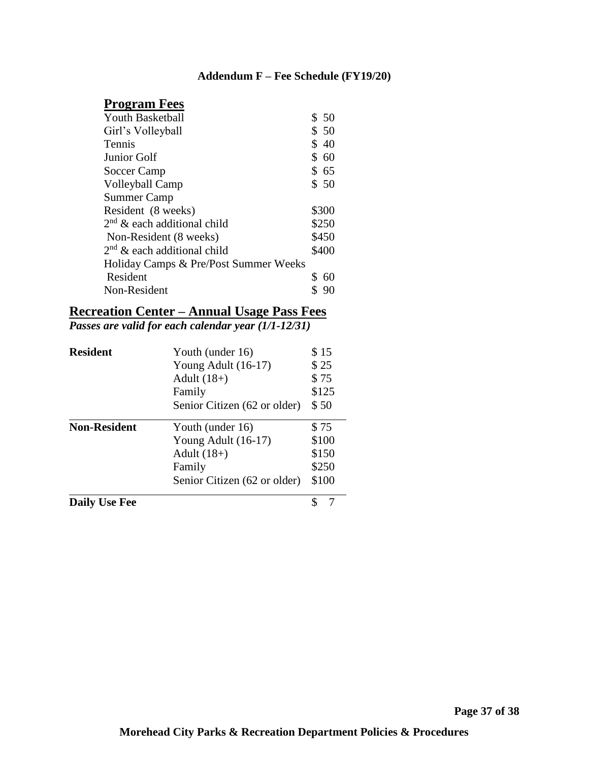# **Addendum F – Fee Schedule (FY19/20)**

# **Program Fees**

| <b>Youth Basketball</b>               | \$50     |
|---------------------------------------|----------|
| Girl's Volleyball                     | \$ 50    |
| Tennis                                | \$<br>40 |
| Junior Golf                           | \$60     |
| Soccer Camp                           | \$65     |
| Volleyball Camp                       | \$50     |
| <b>Summer Camp</b>                    |          |
| Resident (8 weeks)                    | \$300    |
| $2nd$ & each additional child         | \$250    |
| Non-Resident (8 weeks)                | \$450    |
| $2nd$ & each additional child         | \$400    |
| Holiday Camps & Pre/Post Summer Weeks |          |
| Resident                              | 60       |
| Non-Resident                          |          |
|                                       |          |

# **Recreation Center – Annual Usage Pass Fees**

*Passes are valid for each calendar year (1/1-12/31)*

| <b>Resident</b>      | Youth (under 16)             | \$15          |  |
|----------------------|------------------------------|---------------|--|
|                      | Young Adult $(16-17)$        | \$25          |  |
|                      | Adult $(18+)$                | \$75<br>\$125 |  |
|                      | Family                       |               |  |
|                      | Senior Citizen (62 or older) | \$50          |  |
| <b>Non-Resident</b>  | Youth (under 16)             | \$75          |  |
|                      | Young Adult (16-17)          | \$100         |  |
|                      | Adult $(18+)$                | \$150         |  |
|                      | Family                       | \$250         |  |
|                      | Senior Citizen (62 or older) | \$100         |  |
| <b>Daily Use Fee</b> |                              |               |  |